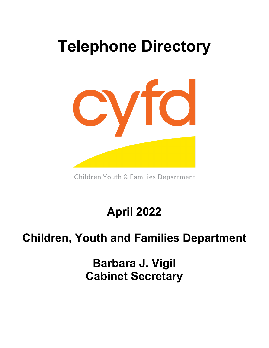# **Telephone Directory**



Children Youth & Families Department

**April 2022**

# **Children, Youth and Families Department**

**Barbara J. Vigil Cabinet Secretary**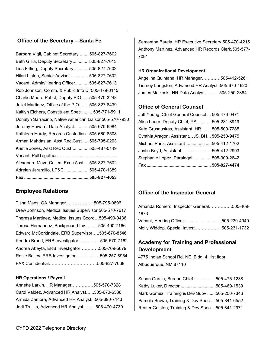## **Office of the Secretary – Santa Fe**

Barbara Vigil, Cabinet Secretary ....... 505-827-7602 Beth Gillia, Deputy Secretary............. 505-827-7613 Lisa Fitting, Deputy Secretary ............ 505-827-7602 Hilari Lipton, Senior Advisor............... 505-827-7602 Vacant, Admin/Hearing Officer........... 505-827-7613 Rob Johnson, Comm. & Public Info Dir505-479-0145 Charlie Moore-Pabst, Deputy PIO ..... 505-470-3248 Juliet Martinez, Office of the PIO ....... 505-827-8439 Kaitlyn Eichers, Constituent Spec ......... 505-771-5911 Donalyn Sarracino, Native American Liaison505-570-7930 Jeremy Howard, Data Analyst............ 505-670-6984 Kathleen Hardy, Records Custodian.. 505-660-8508 Arman Mahdasian, Asst Rec Cust ..... 505-795-0203 Kristie Jones, Asst Rec Cust.............. 505-487-0149 Vacant, PullTogether……………..... ......................... Alexandra Mayo-Cullen, Exec Asst.... 505-827-7602 Adreien Jaramillo, LP&C .................... 505-470-1389 **Fax ..................................................... 505-827-4053**

# **Employee Relations**

| Tisha Maes, QA Manager505-795-0696                   |  |
|------------------------------------------------------|--|
| Drew Johnson, Medical Issues Supervisor.505-570-7617 |  |
| Theresa Martinez, Medical Issues Coord505-490-0436   |  |
| Teresa Hernandez, Background Inv505-490-7166         |  |
| Edward McCorkindale, ERB Supervisor505-670-8546      |  |
| Kendra Brand, ERB Investigator505-570-7162           |  |
| Andrea Abeyta, ERB Investigator505-709-5679          |  |
| Rosie Bailey, ERB Investigator505-257-8954           |  |
| FAX Confidential505-827-7668                         |  |

#### **HR Operations / Payroll**

Annette Larkin, HR Manager……………505-570-7328 Carol Valdez, Advanced HR Analyst…...505-670-6538 Armida Zamora, Advanced HR Analyst...505-690-7143 Jodi Trujillo, Advanced HR Analyst……...505-470-4730 Samantha Barela, HR Executive Secretary.505-470-4215 Anthony Martinez, Advanced HR Records Clerk.505-577- 7091

#### **HR Organizational Development**

Angelina Quintana, HR Manager……….…505-412-5261 Tierney Langston, Advanced HR Analyst..505-670-4620 James Malkoski, HR Data Analyst…….....505-250-2884

### **Office of General Counsel**

Jeff Young, Chief General Counsel ... 505-476-0471 Alisa Lauer, Deputy Chief, PS ........... 505-231-8919 Kate Grusauskas, Assistant, HR........ 505-500-7285 Cynthia Aragon, Assistant, JJS, BH... 505-250-9475 Michael Prinz, Assistant................ .....505-412-1702 Justin Boyd, Assistant........................ 505-412-2993 Stephanie Lopez, Paralegal............... 505-309-2642 **Fax ..................................................... 505-827-4474**

### **Office of the Inspector General**

| Amanda Romero, Inspector General……………505-469- |  |
|-----------------------------------------------|--|
| 1873.                                         |  |
| Vacant, Hearing Officer 505-239-4940          |  |
| Molly Widdop, Special Invest 505-231-1732     |  |

# **Academy for Training and Professional Development**

4775 Indian School Rd. NE, Bldg. 4, 1st floor, Albuquerque, NM 87110

| Susan Garcia, Bureau Chief 505-475-1238         |  |
|-------------------------------------------------|--|
| Kathy Luker, Director 505-469-1539              |  |
| Mark Gomez, Training & Dev Supv 505-250-7346    |  |
| Pamela Brown, Training & Dev Spec505-841-6552   |  |
| Reater Golston, Training & Dev Spec505-841-2971 |  |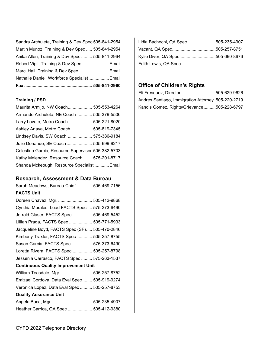| Sandra Archuleta, Training & Dev Spec 505-841-2954 |  |
|----------------------------------------------------|--|
| Martin Munoz, Training & Dev Spec  505-841-2954    |  |
| Anika Allen, Training & Dev Spec 505-841-2964      |  |
| Robert Vigil, Training & Dev Spec  Email           |  |
| Marci Hall, Training & Dev Spec Email              |  |
| Nathalie Daniel, Workforce Specialist Email        |  |
|                                                    |  |

### **Training / PSD**

| Maurita Armijo, NW Coach 505-553-4264              |  |
|----------------------------------------------------|--|
| Armando Archuleta, NE Coach 505-379-5506           |  |
| Larry Lovato, Metro Coach 505-221-8020             |  |
| Ashley Anaya, Metro Coach 505-819-7345             |  |
| Lindsey Davis, SW Coach  575-386-9184              |  |
| Julie Donahue, SE Coach  505-699-9217              |  |
| Celestina Garcia, Resource Supervisor 505-382-5703 |  |
| Kathy Melendez, Resource Coach  575-201-8717       |  |
| Shanda Mckeough, Resource Specialist  Email        |  |

### **Research, Assessment & Data Bureau**

Sarah Meadows, Bureau Chief ............. 505-469-7156 **FACTS Unit**

| Doreen Chavez, Mgr.  505-412-9868              |  |
|------------------------------------------------|--|
| Cynthia Morales, Lead FACTS Spec  575-373-6490 |  |
| Jerrald Glaser, FACTS Spec  505-469-5452       |  |
| Lillian Prada, FACTS Spec  505-771-5933        |  |
| Jacqueline Boyd, FACTS Spec (SF) 505-470-2846  |  |
| Kimberly Traxler, FACTS Spec 505-257-8755      |  |
| Susan Garcia, FACTS Spec  575-373-6490         |  |
| Loretta Rivera, FACTS Spec 505-257-8798        |  |
| Jessenia Carrasco, FACTS Spec  575-263-1537    |  |
| <b>Continuous Quality Improvement Unit</b>     |  |
| William Teasdale, Mgr.  505-257-8752           |  |
| Emizael Cordova, Data Eval Spec 505-919-9274   |  |
| Veronica Lopez, Data Eval Spec  505-257-8753   |  |
| <b>Quality Assurance Unit</b>                  |  |
| Angela Baca, Mgr 505-235-4907                  |  |
| Heather Carrica, QA Spec  505-412-9380         |  |

| Lidia Bachechi, QA Spec 505-235-4907 |  |
|--------------------------------------|--|
|                                      |  |
| Kylie Diver, QA Spec505-690-8676     |  |
| Edith Lewis, QA Spec                 |  |

# **Office of Children's Rights**

| Eli Fresquez, Director505-629-9626                  |  |
|-----------------------------------------------------|--|
| Andres Santiago, Immigration Attorney .505-220-2719 |  |
| Kandis Gomez, Rights/Grievance505-228-6797          |  |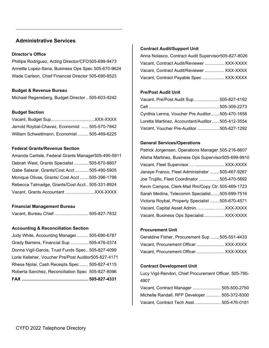### **Administrative Services**

#### **Director's Office**

Phillipe Rodriguez, Acting Director/CFO505-699-9473 Annette Lopez-Sena, Business Ops Spec 505-670-9624 Wade Carlson, Chief Financial Director 505-690-8523

#### **Budget & Revenue Bureau**

Michael Regensberg, Budget Director .. 505-603-9242

#### **Budget Section**

Vacant, Budget Sup....................................XXX-XXXX Jerrold Roybal-Chavez, Economist ...... 505-570-7842 William Schwettmann, Economist ......... 505-469-6225

#### **Federal Grants/Revenue Section**

| Amanda Carlisle, Federal Grants Manager505-490-5911 |  |
|-----------------------------------------------------|--|
| Debrah West, Grants Specialist  505-670-8807        |  |
| Gabe Salazar, Grants/Cost Acct 505-490-5905         |  |
| Monique Olivas, Grants/ Cost Acct  505-396-1798     |  |
| Rebecca Talmadge, Grants/Cost Acct 505-331-8924     |  |
|                                                     |  |

#### **Financial Management Bureau**

Vacant, Bureau Chief ............................ 505-827-7832

#### **Accounting & Reconciliation Section**

Judy White, Accounting Manager.......... 505-690-6787 Grady Barrens, Financial Sup ............... 505-476-0374 Donna Vigil-Garcia, Trust Funds Spec.. 505-827-4099 Lorie Kelleher, Voucher Pre/Post Auditor505-827-4171 Rhesa Njolai, Cash Receipts Spec ....... 505-827-4115 Roberta Sanchez, Reconciliation Spec 505-827-8096 **FAX ....................................................... 505-827-4331**

#### **Contract Audit/Support Unit**

| Anna Nolasco, Contract Audit Supervisor505-827-8026 |  |
|-----------------------------------------------------|--|
| Vacant, Contract Audit/Reviewer  XXX-XXXX           |  |
| Vacant, Contract Audit/Reviewer  XXX-XXXX           |  |
| Vacant, Contract Payable Spec  XXX-XXXX             |  |

#### **Pre/Post Audit Unit**

| Vacant, Pre/Post Audit Sup505-827-4192            |  |
|---------------------------------------------------|--|
|                                                   |  |
| Cynthia Lerma, Voucher Pre Auditor505-470-1658    |  |
| Loretta Martinez, Accountant/Auditor 505-412-3554 |  |
| Vacant, Voucher Pre-Auditor505-827-1292           |  |

#### **General Services/Operations**

| Patrick Jorgensen, Operations Manager. 505-216-8607  |
|------------------------------------------------------|
| Alisha Martinez, Business Ops Supervisor505-699-9910 |
| Vacant, Fleet Supervisor  XXX-XXXX                   |
| Janaye Franco, Fleet Administrator 505-467-9267      |
| Joe Trujillo, Fleet Coordinator 505-470-5692         |
| Kevin Campos, Clerk-Mail Rm/Copy Ctr.505-469-1723    |
| Sarah Medina, Telecomm Specialist505-699-7516        |
| Victoria Roybal, Property Specialist  505-670-4571   |
| Vacant, Capital Asset Admin XXX-XXXX                 |
| Vacant, Business Ops Specialist XXX-XXXX             |

#### **Procurement Unit**

| Geraldine Fisher, Procurement Sup 505-551-4433 |  |
|------------------------------------------------|--|
| Vacant, Procurement Officer XXX-XXXX           |  |
| Vacant, Procurement Officer XXX-XXXX           |  |

#### **Contract Development Unit**

Lucy Vigil-Rendon, Chief Procurement Officer. 505-795- 4907

| Vacant, Contract Manager  505-500-2750        |  |
|-----------------------------------------------|--|
| Michelle Randall, RFP Developer  505-372-8300 |  |
| Vacant, Contract Tech Asst 505-476-0181       |  |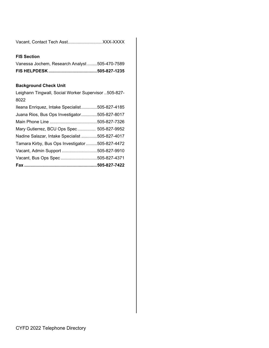| Vacant, Contact Tech Asst XXX-XXXX |  |
|------------------------------------|--|
|------------------------------------|--|

#### **FIS Section**

| Vanessa Jochem, Research Analyst 505-470-7589 |  |
|-----------------------------------------------|--|

#### **Background Check Unit**

Leighann Tingwall, Social Worker Supervisor ..505-827- 8022 Ileana Enriquez, Intake Specialist.............505-827-4185 Juana Rios, Bus Ops Investigator.............505-827-8017 Main Phone Line .......................................505-827-7326 Mary Gutierrez, BCU Ops Spec ............... 505-827-9952 Nadine Salazar, Intake Specialist .............505-827-4017 Tamara Kirby, Bus Ops Investigator .........505-827-4472 Vacant, Admin Support .............................505-827-9910 Vacant, Bus Ops Spec ..............................505-827-4371 **Fax ............................................................505-827-7422**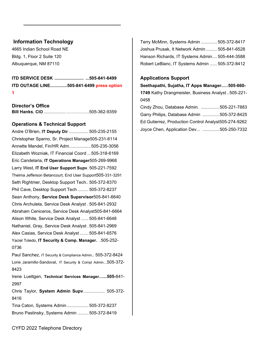## **Information Technology**

4665 Indian School Road NE Bldg. 1, Floor 2 Suite 120 Albuquerque, NM 87110

**ITD SERVICE DESK ........................ ...505-841-6499 ITD OUTAGE LINE..............505-841-6499 press option 1**

**Director's Office Bill Hanks**, **CIO** ..................…………….505-362-9359

#### **Operations & Technical Support**

Andre O'Brien, **IT Deputy Dir** ................ 505-235-2155 Christopher Sparno, Sr. Project Manage505-231-6114 Annette Mandel, Fin/HR Adm..................505-235-3056 Elizabeth Wozniak, IT Financial Coord ...505-318-6169 Eric Candelaria, **IT Operations Manager**505-269-9968 Larry West, **IT End User Support Supv**. 505-221-7592 Thelma Jefferson Betancourt, End User Support505-331-3291 Seth Rightmer, Desktop Support Tech.. 505-372-8370 Phil Cave, Desktop Support Tech ......... 505-372-8237 Sean Anthony, **Service Desk Supervisor**505-841-6640 Chris Archuleta, Service Desk Analyst . 505-841-2932 Abraham Ceniceros, Service Desk Analyst505-841-6664 Alison White, Service Desk Analyst ...... 505-841-6648 Nathaniel, Gray, Service Desk Analyst . 505-841-2969 Alex Casias, Service Desk Analyst ....... 505-841-6576 Yaciel Toledo, **IT Security & Comp. Manager.** .505-252- 0736 Paul Sanchez, IT Security & Compliance Admin.. 505-372-8424

Lorie Jaramillo-Sandoval, IT Security & Compl Admin...505-372- 8423

Irene Luettgen, **Technical Services Manager…...505-**841- 2997

Chris Taylor, **System Admin Supv**.................. 505-372- 8416

Tina Caton, Systems Admin.................. 505-372-8237 Bruno Pastinsky, Systems Admin ......... 505-372-8419 Terry McMinn, Systems Admin ............. 505-372-8417 Joshua Prusak, It Network Admin ......... 505-841-6528 Hanson Richards, IT Systems Admin.... 505-444-3588 Robert LeBlanc, IT Systems Admin ...... 505-372-8412

#### **Applications Support**

**Seethapathi, Sujatha, IT Apps Manager..…505-660- 1749** Kathy Drangmeister, Business Analyst..505-221- 0458

| Cindy Zhou, Database Admin. 505-221-7883             |  |
|------------------------------------------------------|--|
| Garry Philips, Database Admin 505-372-8425           |  |
| Ed Gutierrez, Production Control Analyst505-274-9262 |  |
| Joyce Chen, Application Dev 505-250-7332             |  |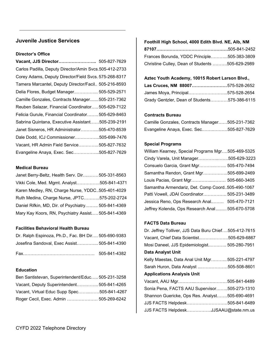## **Juvenile Justice Services**

### **Director's Office**

| Vacant, JJS Director 505-827-7629                      |  |
|--------------------------------------------------------|--|
| Carlos Padilla, Deputy Director/Amin Svcs.505-412-2733 |  |
| Corey Adams, Deputy Director/Field Svcs. 575-268-8317  |  |
| Tamera Marcantel, Deputy Director/Facil 505-216-8593   |  |
| Delia Flores, Budget Manager 505-529-2571              |  |
| Camille Gonzales, Contracts Manager505-231-7362        |  |
| Reuben Salazar, Financial Coordinator505-629-7122      |  |
| Felicia Gurule, Financial Coordinator 505-629-8463     |  |
| Sabrina Quintana, Executive Assistant505-239-2191      |  |
| Janet Sisneros, HR Administrator505-470-8539           |  |
| Dale Dodd, ICJ Commissioner505-699-7476                |  |
| Vacant, HR Admin Field Service505-827-7632             |  |
| Evangeline Anaya, Exec. Sec505-827-7629                |  |

#### **Medical Bureau**

| Janet Berry-Beltz, Health Serv. Dir505-331-8563    |  |
|----------------------------------------------------|--|
| Vikki Cole, Med. Mgmt. Analyst505-841-4371         |  |
| Karen Medley, RN, Charge Nurse, YDDC505-401-4029   |  |
| Ruth Medina, Charge Nurse, JPTC575-202-2724        |  |
| Daniel Rifkin, MD, Dir. of Psychiatry 505-841-4369 |  |
| Mary Kay Koors, RN, Psychiatry Assist 505-841-4369 |  |

#### **Facilities Behavioral Health Bureau**

| Dr. Ralph Espinoza, Ph.D., Fac. BH Dir 505-690-9383 |              |
|-----------------------------------------------------|--------------|
| Josefina Sandoval, Exec Assist 505-841-4390         |              |
|                                                     | 505-841-4382 |

#### **Education**

| Ben Santistevan, Superintendent/Educ 505-231-3258 |  |
|---------------------------------------------------|--|
| Vacant, Deputy Superintendent 505-841-4265        |  |
| Vacant, Virtual Educ Supp Spec505-841-4267        |  |
| Roger Cecil, Exec. Admin  505-269-6242            |  |

# **Foothill High School, 4000 Edith Blvd. NE, Alb, NM**

| Frances Borunda, YDDC Principle505-383-3809     |  |
|-------------------------------------------------|--|
| Christine Culley, Dean of Students 505-629-2989 |  |

### **Aztec Youth Academy, 10015 Robert Larson Blvd.,**

| Las Cruces, NM 88007575-528-2652             |  |
|----------------------------------------------|--|
| James Moya, Principal575-528-2654            |  |
| Grady Gentzler, Dean of Students575-386-6115 |  |

#### **Contracts Bureau**

| Camille Gonzales, Contracts Manager505-231-7362 |  |
|-------------------------------------------------|--|
| Evangeline Anaya, Exec. Sec505-827-7629         |  |

#### **Special Programs**

| William Kearney, Special Programs Mgr505-469-5325 |  |
|---------------------------------------------------|--|
| Cindy Varela, Unit Manager505-629-3223            |  |
| Consuelo Garcia, Grant Mgr 505-470-7494           |  |
| Samantha Rendon, Grant Mgr505-699-2469            |  |
| Louis Pacias, Grant Mgr 505-660-3405              |  |
| Samantha Armendariz, Det. Comp Coord505-490-1067  |  |
| Patti Vowell, JDAI Coordinator 505-231-3489       |  |
| Jessica Reno, Ops Research Anal 505-470-7121      |  |
| Jeffrey Kolenda, Ops Research Anal 505-670-5708   |  |

#### **FACTS Data Bureau**

| Dr. Jeffrey Tolliver, JJS Data Buru Chief505-412-7615 |
|-------------------------------------------------------|
| Vacant, Chief Data Scientist505-629-6867              |
| Mosi Daneel, JJS Epidemiologist 505-280-7951          |
| Data Analyst Unit                                     |
| Kelly Maestas, Data Anal Unit Mgr505-221-4797         |
| Sarah Huron, Data Analyst 505-508-8601                |
| <b>Applications Analysis Unit</b>                     |
| Vacant, AAU Mgr505-841-6489                           |
| Sonia Pena, FACTS AAU Supervisor505-273-1310          |
| Shannon Guericke, Ops Res. Analyst505-690-4691        |
| JJS FACTS Helpdesk505-841-6489                        |
| JJS FACTS HelpdeskJJSAAU@state.nm.us                  |
|                                                       |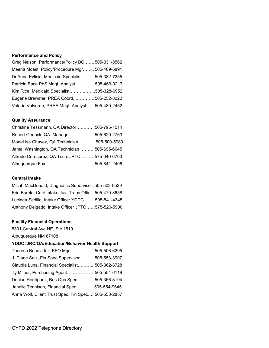#### **Performance and Policy**

| Greg Nelson, Performance/Policy BC505-331-8562    |  |
|---------------------------------------------------|--|
| Meena Moest, Policy/Procedure Mgr 505-469-6891    |  |
| DeAnna Eylicio, Medicaid Specialist505-382-7255   |  |
| Patricia Baca PbS Mngt. Analyst505-469-0217       |  |
| Kim Rice, Medicaid Specialist505-328-6952         |  |
| Eugene Brewster, PREA Coord505-252-8020           |  |
| Valarie Valverde, PREA Mngt. Analyst 505-480-2452 |  |

#### **Quality Assurance**

| Christine Tessmann, QA Director 505-795-1514  |  |
|-----------------------------------------------|--|
| Robert Gerlock, QA. Manager505-629-2763       |  |
| MonaLisa Chavez, QA Technician505-500-5989    |  |
| Jamal Washington, QA Technician 505-695-6645  |  |
| Alfredo Cerecerez, QA Tech. JPTC 575-640-6703 |  |
|                                               |  |

#### **Central Intake**

Micah MacDonald, Diagnostic Supervisor..505-503-9539 Erin Barela, Cntrl Intake Juv. Trans Offic…505-470-8658 Lucinda Sedillo, Intake Officer YDDC……..505-841-4345 Anthony Delgado, Intake Officer JPTC……575-526-5900

#### **Facility Financial Operations**

5301 Central Ave NE, Ste 1510

Albuquerque NM 87108

### **YDDC /JRC/QA/Education/Behavior Health Support**

| Theresa Benavidez, FFO Mgr 505-506-6295            |  |
|----------------------------------------------------|--|
| J. Diane Saiz, Fin Spec Supervisor 505-553-3907    |  |
| Claudia Luna, Financial Specialist505-362-8728     |  |
| Ty Milner, Purchasing Agent505-554-6119            |  |
| Denise Rodriguez, Bus Ops Spec 505-366-8194        |  |
| Janelle Tennison, Financial Spec505-554-9645       |  |
| Anna Wolf, Client Trust Spec. Fin Spec505-553-2857 |  |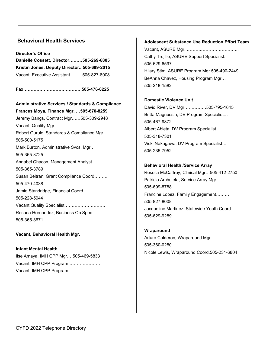## **Behavioral Health Services**

**Director's Office Danielle Cossett, Director………505-269-6805 Kristin Jones, Deputy Director...505-699-2015** Vacant, Executive Assistant ……..505-827-8008

**Fax………………………………….505-476-0225**

**Administrative Services / Standards & Compliance Frances Moya, Finance Mgr. …505-670-8259** Jeremy Bangs, Contract Mgr……505-309-2948 Vacant, Quality Mgr……………………………… Robert Gurule, Standards & Compliance Mgr… 505-500-5175 Mark Burton, Administrative Svcs. Mgr… 505-365-3725 Annabel Chacon, Management Analyst………. 505-365-3789 Susan Beltran, Grant Compliance Coord……… 505-470-4038 Jamie Standridge, Financial Coord.................. 505-228-5944 Vacant Quality Specialist………………………. Rosana Hernandez, Business Op Spec…….. 505-365-3671

**Vacant, Behavioral Health Mgr.** 

**Infant Mental Health**  Ilse Amaya, IMH CPP Mgr.…505-469-5833 Vacant, IMH CPP Program ………………… Vacant, IMH CPP Program …………………

#### **Adolescent Substance Use Reduction Effort Team**

Vacant, ASURE Mgr. ……….…………………….. Cathy Trujillo, ASURE Support Specialist.. 505-629-6597 Hilary Stim, ASURE Program Mgr.505-490-2449 BeAnna Chavez, Housing Program Mgr… 505-218-1582

#### **Domestic Violence Unit**

David River, DV Mgr……………505-795-1645 Britta Magnussin, DV Program Specialist… 505-467-9872 Albert Abieta, DV Program Specialist… 505-318-7301 Vicki Nakagawa, DV Program Specialist… 505-235-7952

#### **Behavioral Health /Service Array**

Rosella McCaffrey, Clinical Mgr…505-412-2750 Patricia Archuleta, Service Array Mgr……… 505-699-8788 Francine Lopez, Family Engagement……… 505-827-8008 Jacqueline Martinez, Statewide Youth Coord. 505-629-9289

#### **Wraparound**

Arturo Calderon, Wraparound Mgr…. 505-360-0280 Nicole Lewis, Wraparound Coord.505-231-6804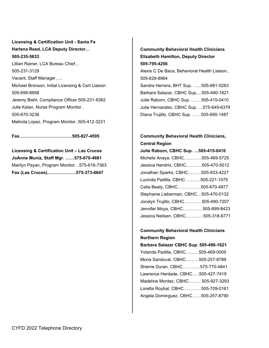# **Licensing & Certification Unit - Santa Fe Harlena Reed, LCA Deputy Director… 505-235-5633** Lillian Rainer, LCA Bureau Chief… 505-231-3129 Vacant, Staff Manager….. Michael Bronson, Initial Licensing & Cert Liasion 505-699-8958 Jeremy Biehl, Compliance Officer 505-231-9382 Julie Kalan, Nurse Program Monitor.. 505-670-3238 Melinda Lopez, Program Monitor..505-412-3231

**Fax………………………………505-827-4595**

**Licensing & Certification Unit – Las Cruces JoAnne Muniz, Staff Mgr. ……575-670-4681** Marilyn Payan, Program Monitor…575-618-7363 **Fax (Las Cruces)………………..575-373-6647**

# **Community Behavioral Health Clinicians Elizabeth Hamilton, Deputy Director 505-795-4256**

Alexis C De Baca, Behavioral Health Liaison.. 505-629-8964

Sandra Herrera, BHT Sup. …...505-681-5283 Barbara Salazar, CBHC Sup,…505-490-1621 Julie Raborn, CBHC Sup. …….505-415-0410 Julie Hernandez, CBHC Sup. …575-649-6379 Diana Trujillo, CBHC Sup. ……505-690-1487

# **Community Behavioral Health Clinicians, Central Region**

**Julie Raborn, CBHC Sup. …505-415-0410** Michele Anaya, CBHC…………505-469-5725 Jessica Hendrix, CBHC………..505-470-5012 Jonathan Sparks, CBHC………505-933-4227 Lucinda Padilla, CBHC………..505-221-1075 Celia Beaty, CBHC….…………505-670-4977 Stephanie Lieberman, CBHC…505-470-0132 Jocelyn Trujillo, CBHC…………505-490-7207 Jennifer Moya, CBHC…………..505-699-8423 Jessica Neilsen, CBHC…………505-318-6771

# **Community Behavioral Health Clinicians Northern Region**

**Barbara Salazar CBHC Sup. 505-490-1621** Yolanda Padilla, CBHC………505-469-0005 Mona Sandoval, CBHC………505-257-8789 Sherrie Duran, CBHC…………575-770-4841 Lawrence Herdade, CBHC…..505-427-7419 Madeline Montez, CBHC………505-927-3293 Loretta Roybal, CBHC…………505-709-0161 Angela Dominguez, CBHC……505-257-8790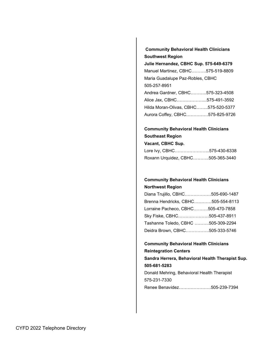**Community Behavioral Health Clinicians Southwest Region** 

**Julie Hernandez, CBHC Sup. 575-649-6379** Manuel Martinez, CBHC……….575-519-8809 Maria Guadalupe Paz-Robles, CBHC 505-257-8951 Andrea Gardner, CBHC………..575-323-4508 Alice Jax, CBHC………………...575-491-3592 Hilda Moran-Olivas, CBHC……..575-520-5377 Aurora Coffey, CBHC……………575-825-9726

## **Community Behavioral Health Clinicians Southeast Region Vacant, CBHC Sup.**

| Lore Ivy, CBHC……………………575-430-6338 |  |
|------------------------------------|--|
| Roxann Urquidez, CBHC505-365-3440  |  |

## **Community Behavioral Health Clinicians Northwest Region**

| Diana Trujillo, CBHC505-690-1487   |  |
|------------------------------------|--|
| Brenna Hendricks, CBHC505-554-8113 |  |
| Lorraine Pacheco, CBHC505-470-7858 |  |
| Sky Fiske, CBHC505-437-8911        |  |
| Tashanne Toledo, CBHC 505-309-2294 |  |
| Deidra Brown, CBHC505-333-5746     |  |

# **Community Behavioral Health Clinicians Reintegration Centers Sandra Herrera, Behavioral Health Therapist Sup. 505-681-5283** Donald Mehring, Behavioral Health Therapist 575-231-7330 Renee Benavidez………………….505-239-7394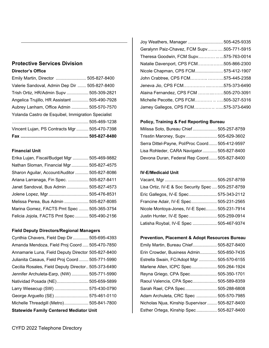## **Protective Services Division Director's Office**

| Vincent Lujan, PS Contracts Mgr  505-470-7398      |  |
|----------------------------------------------------|--|
|                                                    |  |
| Yolanda Castro de Esquibel, Immigration Specialist |  |
| Aubrey Lanham, Office Admin  505-570-7570          |  |
| Angelica Trujillo, HR Assistant  505-490-7928      |  |
| Trish Ortiz, HR/Admin Supv  505-309-2821           |  |
| Valerie Sandoval, Admin Dep Dir  505-827-8400      |  |
| Emily Martin, Director  505-827-8400               |  |

#### **Financial Unit**

| Erika Lujan, Fiscal/Budget Mgr  505-469-9882  |  |
|-----------------------------------------------|--|
| Nathan Sloman, Financial Mgr  505-827-4575    |  |
| Sharon Aguilar, Account/Auditor  505-827-8086 |  |
| Ariana Larranaga, Fin Spec.  505-827-8411     |  |
| Janet Sandoval, Bus Admin  505-827-4573       |  |
| Jolene Lopez, Mgr  505-476-8531               |  |
| Melissa Perea, Bus Admin  505-827-8085        |  |
| Marina Gomez, FACTS Pmt Spec  505-365-3754    |  |
| Felicia Jojola, FACTS Pmt Spec  505-490-2156  |  |

### **Field Deputy Directors/Regional Managers**

| <b>Statewide Family Centered Mediator Unit</b>      |
|-----------------------------------------------------|
| Michelle Threadgill (Metro) 505-841-7800            |
| George Arguello (SE)  575-461-0110                  |
| Larry Wiesecup (SW)  575-430-0790                   |
| Natividad Posada (NE) 505-659-5899                  |
| Jennifer Archuleta-Earp, (NW)  505-771-5990         |
| Cecilia Rosales, Field Deputy Director 505-373-6490 |
| Julianita Casaus, Field Proj Coord  505-771-5990    |
| Annamarie Luna, Field Deputy Director 505-827-8400  |
| Amanda Mendoza, Field Proj Coord  505-470-7850      |
| Cynthia Chavers, Field Dep Dir 505-695-4393         |

| Joy Weathers, Manager  505-425-9335           |  |
|-----------------------------------------------|--|
| Geralynn Paiz-Chavez, FCM Supv  .505-771-5915 |  |
| Theresa Goodwin, FCM Supv575-763-0014         |  |
| Natalie Davenport, CPS FCM505-866-2300        |  |
| Nicole Chapman, CPS FCM575-412-1907           |  |
| John Crabtree, CPS FCM575-445-2358            |  |
| Jeneva Jio, CPS FCM575-373-6490               |  |
| Alaina Fernandez, CPS FCM 505-270-3091        |  |
| Michelle Pecotte, CPS FCM505-327-5316         |  |
| Jamey Gallegos, CPS FCM575-373-6490           |  |

# **Policy, Training & Fed Reporting Bureau**

| Milissa Soto, Bureau Chief 505-257-8759         |  |
|-------------------------------------------------|--|
| Trisstin Maroney, Supv 505-629-3602             |  |
| Serra Dittel-Payne, Pol/Proc Coord 505-412-9597 |  |
| Lisa Rohleder, CARA Navigator 505-827-8400      |  |
| Devona Duran, Federal Rep Coord 505-827-8400    |  |

### **IV-E/Medicaid Unit**

| Lisa Ortiz, IV-E & Soc Security Spec  505-257-8759 |  |
|----------------------------------------------------|--|
| Eric Gallegos, IV-E Spec 575-343-2112              |  |
| Francine Adair, IV-E Spec 505-231-2565             |  |
| Nicole Montoya-Jones, IV-E Spec 505-231-7914       |  |
| Justin Hunter, IV-E Spec  505-259-0914             |  |
| Latisha Roybal, IV-E Spec  505-467-9374            |  |

# **Prevention, Placement & Adopt Resources Bureau**

| Emily Martin, Bureau Chief 505-827-8400         |  |
|-------------------------------------------------|--|
| Erin Crowder, Business Admin 505-850-7435       |  |
| Estrella Swain, FC/Adopt Mgr  505-570-6155      |  |
| Marlene Allen, ICPC Spec 505-264-1924           |  |
| Reyna Griego, CPA Spec 505-350-1701             |  |
| Raoul Valencia, CPA Spec 505-589-8359           |  |
| Sarah Rael, CPA Spec 505-288-6808               |  |
| Adam Archuleta, CRC Spec  505-570-7985          |  |
| Nicholas Njua, Kinship Supervisor  505-827-8400 |  |
| Esther Ortega, Kinship Spec 505-827-8400        |  |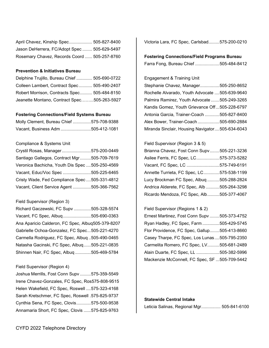| April Chavez, Kinship Spec 505-827-8400      |  |
|----------------------------------------------|--|
| Jason DeHerrera, FC/Adopt Spec  505-629-5497 |  |
| Rosemary Chavez, Records Coord  505-257-8760 |  |

#### **Prevention & Initiatives Bureau**

| Delphine Trujillo, Bureau Chief  505-690-0722 |  |
|-----------------------------------------------|--|
| Colleen Lambert, Contract Spec 505-490-2407   |  |
| Robert Morrison, Contracts Spec 505-484-8150  |  |
| Jeanette Montano, Contract Spec505-263-5927   |  |

#### **Fostering Connections/Field Systems Bureau**

| Molly Clement, Bureau Chief 575-708-9388 |  |
|------------------------------------------|--|
| Vacant, Business Adm 505-412-1081        |  |

#### Compliance & Systems Unit

| Crystil Rosas, Manager575-200-0449             |  |
|------------------------------------------------|--|
| Santiago Gallegos, Contract Mgr505-709-7619    |  |
| Veronica Bachicha, Youth Dis Spec 505-250-4569 |  |
| Vacant, Educ/Voc Spec 505-225-6465             |  |
| Cristy Wade, Fed Compliance Spec505-331-4812   |  |
| Vacant, Client Service Agent 505-366-7562      |  |

#### Field Supervisor (Region 3)

| Richard Gaczewski, FC Supv 505-328-5574           |  |
|---------------------------------------------------|--|
| Vacant, FC Spec, Albuq505-690-0363                |  |
| Ana Aparicio Calderon, FC Spec, Albuq505-379-8207 |  |
| Gabrielle Ochoa-Gonzalez, FC Spec505-221-4270     |  |
| Carmella Rodriguez, FC Spec, Albuq505-490-0465    |  |
| Natasha Gacinski, FC Spec, Albuq505-221-0835      |  |
| Shinnen Nair, FC Spec, Albuq 505-469-5784         |  |

#### Field Supervisor (Region 4)

Joshua Merrills, Fost Conn Supv .........575-359-5549 Irene Chavez-Gonzales, FC Spec, Ros575-808-9515 Helen Wakefield, FC Spec, Roswell ....575-323-4168 Sarah Kretschmer, FC Spec, Roswell . 575-825-9737 Cynthia Sena, FC Spec, Clovis............575-500-9538 Annamaria Short, FC Spec, Clovis ......575-825-9763

Victoria Lara, FC Spec, Carlsbad.........575-200-0210

**Fostering Connections/Field Programs Bureau** Farra Fong, Bureau Chief ....................505-484-8412

#### Engagement & Training Unit

| Stephanie Chavez, Manager505-250-8652           |  |
|-------------------------------------------------|--|
| Rochelle Alvarado, Youth Advocate 505-639-9640  |  |
| Palmira Ramirez, Youth Advocate 505-249-3265    |  |
| Kandis Gomez, Youth Grievance Off505-228-6797   |  |
| Antonia Garcia, Trainer-Coach 505-827-8400      |  |
| Alex Bower, Trainer-Coach505-690-2884           |  |
| Miranda Sinclair, Housing Navigator505-634-6043 |  |

#### Field Supervisor (Region 3 & 5)

| Brianna Chavez, Fost Conn Supv505-221-3236  |  |
|---------------------------------------------|--|
| Asilee Ferris, FC Spec, LC575-373-5282      |  |
| Vacant, FC Spec, LC 575-749-6191            |  |
| Annette Turrieta, FC Spec, LC575-538-1199   |  |
| Lucy Brockman FC Spec, Albuq 505-288-2824   |  |
| Andrica Alderete, FC Spec, Alb 505-264-3298 |  |
| Ricardo Mendoza, FC Spec, Alb505-377-4067   |  |

#### Field Supervisor (Regions 1 & 2)

| Ernest Martinez, Fost Conn Supv 505-373-4752  |  |
|-----------------------------------------------|--|
| Ryan Hadley, FC Spec, Farm 505-429-5745       |  |
| Flor Providence, FC Spec, Gallup505-413-8660  |  |
| Casey Tharpe, FC Spec, Los Lunas505-795-2350  |  |
| Carmelita Romero, FC Spec, LV505-681-2489     |  |
| Alain Duarte, FC Spec, LL 505-382-5996        |  |
| Mackenzie McConnell, FC Spec, SF 505-709-5442 |  |

#### **Statewide Central Intake**

| Leticia Salinas, Regional Mgr 505-841-6100 |  |  |  |
|--------------------------------------------|--|--|--|
|--------------------------------------------|--|--|--|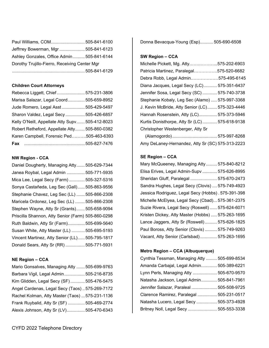| Paul Williams, COM 505-841-6100               |  |  |
|-----------------------------------------------|--|--|
| Jeffrrey Bowerman, Mgr  505-841-6123          |  |  |
| Ashley Gonzales, Office Admin 505-841-6144    |  |  |
| Dorothy Trujillo-Fierro, Receiving Center Mgr |  |  |
|                                               |  |  |

#### **Children Court Attorneys**

| Rebecca Liggett, Chief  575-231-3806            |  |
|-------------------------------------------------|--|
| Marisa Salazar, Legal Coord 505-659-8952        |  |
| Jude Romero, Legal Asst  505-429-5497           |  |
| Sharon Valdez, Legal Secy 505-426-6857          |  |
| Kelly O'Neill, Appellate Atty Supv 505-412-8023 |  |
| Robert Retheford, Appellate Atty 505-860-0382   |  |
| Karen Campbell, Forensic Ped505-463-6393        |  |
|                                                 |  |

#### **NW Region - CCA**

Daniel Dougherty, Managing Atty.......505-629-7344 Janea Roybal, Legal Admin ...............505-771-5935 Mica Lee, Legal Secy (Farm) .............505-327-5316 Sonya Castañeda, Leg Sec (Gall)......505-863-9556 Stephanie Chavez, Leg Sec (LL) .......505-866-2308 Maricela Ordonez, Leg Sec (LL) ........505-866-2308 Stephen Wayne, Atty Sr (Grants) .......505-658-9094 Priscilla Shannon, Atty Senior (Farm) 505-860-0298 Ruth Baldwin, Atty Sr (Farm) ..............505-699-5640 Susan White, Atty Master (LL) ...........505-695-5193 Vincent Martinez, Atty Senior (LL)......505-795-1817 Donald Sears, Atty Sr (RR) ................505-771-5931

#### **NE Region – CCA**

| Mario Gonsalves, Managing Atty  505-699-9763    |  |
|-------------------------------------------------|--|
| Barbara Vigil, Legal Admin 505-216-8735         |  |
| Kim Glidden, Legal Secy (SF) 505-476-5475       |  |
| Angel Cardenas, Legal Secy (Taos)575-269-7172   |  |
| Rachel Kolman, Atty Master (Taos)  575-231-1136 |  |
| Frank Ruybalid, Atty Sr (SF)  505-469-2774      |  |
| Alexis Johnson, Atty Sr (LV) 505-470-6343       |  |

Donna Bevacqua-Young (Esp)...........505-690-6508

#### **SW Region – CCA**

| Michelle Pickett, Mg. Atty575-202-6903          |  |
|-------------------------------------------------|--|
| Patricia Martinez, Paralegal575-520-6682        |  |
| Debra Robb, Legal Admin575-495-6145             |  |
| Diana Jacques, Legal Secy (LC) 575-351-6437     |  |
| Jennifer Sosa, Legal Secy (SC)  575-740-3738    |  |
| Stephanie Kobaly, Leg Sec (Alamo)  575-997-3368 |  |
| J. Kevin McBride, Atty Senior (LC) 575-323-4446 |  |
| Hannah Rosenstein, Atty (LC) 575-373-5946       |  |
| Kurtis Donisthorpe, Atty Sr (LC) 575-618-9138   |  |
| Christopher Westenberger, Atty Sr               |  |
|                                                 |  |

 (Alamogordo) ..................................... 575-997-8268 Amy DeLaney-Hernandez, Atty Sr (SC) 575-313-2223

#### **SE Region – CCA**

| Mary McQueeney, Managing Atty  575-840-8212        |
|----------------------------------------------------|
| Elisa Erives, Legal Admin-Supv  575-626-8995       |
| Sheridan Gluff, Paralegal  575-670-2473            |
| Sandra Hughes, Legal Secy (Clovis)  575-749-4923   |
| Jessica Rodriguez, Legal Secy (Hobbs). 575-391-398 |
| Michelle McElyea, Legal Secy (Cbad) 575-361-2375   |
| Suzie Rivera, Legal Secy (Roswell)  575-624-6071   |
| Kristen Dickey, Atty Master (Hobbs)  575-263-1695  |
| Lance Jaggers, Atty Sr (Roswell) 575-626-1825      |
| Paul Boross, Atty Senior (Clovis)  575-749-9263    |
| Vacant, Atty Senior (Carlsbad) 575-263-1695        |

#### **Metro Region – CCA (Albuquerque)**

| Cynthia Tessman, Managing Atty  505-699-8534 |  |
|----------------------------------------------|--|
| Amanda Carbajal, Legal Admin 505-389-6221    |  |
| Lynn Perls, Managing Atty  505-670-9570      |  |
| Natasha Jackson, Legal Admin 505-841-7961    |  |
| Jennifer Salazar, Paraleal  505-508-9725     |  |
| Clarence Ramirez, Paralegal  505-231-0517    |  |
| Natasha Lucero, Legal Secy  505-373-4928     |  |
| Britney Noll, Legal Secy  505-553-3338       |  |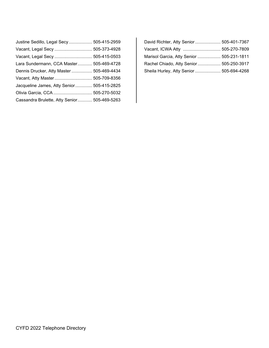| Justine Sedillo, Legal Secy  505-415-2959    |  |
|----------------------------------------------|--|
| Vacant, Legal Secy  505-373-4928             |  |
| Vacant, Legal Secy  505-415-0503             |  |
| Lara Sundermann, CCA Master 505-469-4728     |  |
| Dennis Drucker, Atty Master  505-469-4434    |  |
| Vacant, Atty Master 505-709-8356             |  |
| Jacqueline James, Atty Senior 505-415-2825   |  |
|                                              |  |
| Cassandra Brulette, Atty Senior 505-469-5263 |  |

| David Richter, Atty Senior  505-401-7367  |
|-------------------------------------------|
|                                           |
| Marisol Garcia, Atty Senior  505-231-1811 |
| Rachel Chiado, Atty Senior 505-250-3917   |
| Sheila Hurley, Atty Senior  505-694-4268  |
|                                           |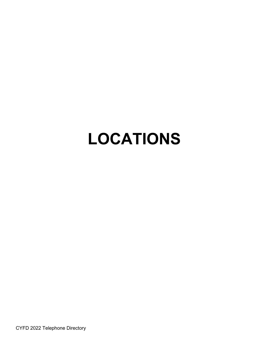# **LOCATIONS**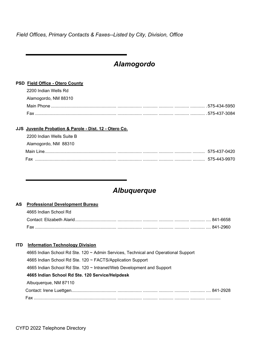*Field Offices, Primary Contacts & Faxes--Listed by City, Division, Office*

# *Alamogordo*

#### **PSD Field Office - Otero County**

| 2200 Indian Wells Rd |  |
|----------------------|--|
| Alamogordo, NM 88310 |  |
|                      |  |
| Fax                  |  |

#### **JJS Juvenile Probation & Parole - Dist. 12 - Otero Co.**

| -2200 Indian Wells Suite B |  |
|----------------------------|--|
| Alamogordo, NM 88310       |  |
|                            |  |
| Fax                        |  |

# *Albuquerque*

#### **AS Professional Development Bureau**

| 4665 Indian School Rd |  |
|-----------------------|--|
|                       |  |
|                       |  |

#### **ITD Information Technology Division**

| 4665 Indian School Rd Ste. 120 ~ Admin Services, Technical and Operational Support |  |
|------------------------------------------------------------------------------------|--|
| 4665 Indian School Rd Ste. 120 ~ FACTS/Application Support                         |  |
| 4665 Indian School Rd Ste. 120 ~ Intranet/Web Development and Support              |  |
| 4665 Indian School Rd Ste. 120 Service/Helpdesk                                    |  |
| Albuquerque, NM 87110                                                              |  |
|                                                                                    |  |
|                                                                                    |  |
|                                                                                    |  |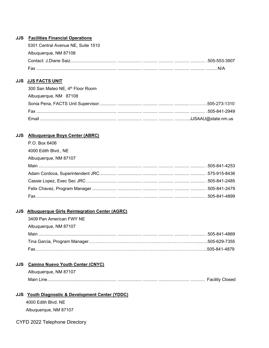#### **JJS Facilities Financial Operations**

| Fax                                | N/A |
|------------------------------------|-----|
|                                    |     |
| Albuquerque, NM 87108              |     |
| 5301 Central Avenue NE, Suite 1510 |     |

#### **JJS JJS FACTS UNIT**

| 300 San Mateo NE, 4th Floor Room |  |
|----------------------------------|--|
| Albuquerque, NM 87108            |  |
|                                  |  |
|                                  |  |
|                                  |  |

#### **JJS Albuquerque Boys Center (ABRC)**

| P.O. Box 6406         |  |
|-----------------------|--|
| 4000 Edith Blvd., NE  |  |
| Albuquerque, NM 87107 |  |
|                       |  |
|                       |  |
|                       |  |
|                       |  |
|                       |  |

#### **JJS Albuquerque Girls Reintegration Center (AGRC)**

| 3409 Pan American FWY NE |  |
|--------------------------|--|
| Albuquerque, NM 87107    |  |
| Main                     |  |
|                          |  |
| Fax                      |  |

#### **JJS Camino Nuevo Youth Center (CNYC)**

| Albuquerque, NM 87107 |  |
|-----------------------|--|
|                       |  |

#### **JJS Youth Diagnostic & Development Center (YDDC)**

4000 Edith Blvd. NE Albuquerque, NM 87107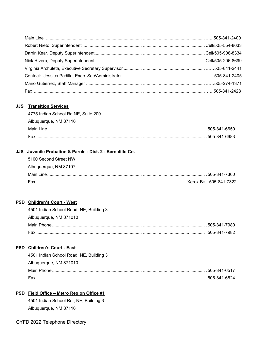#### **JJS Transition Services**

| 4775 Indian School Rd NE, Suite 200 |  |
|-------------------------------------|--|
| Albuquerque, NM 87110               |  |
|                                     |  |
|                                     |  |

#### **JJS Juvenile Probation & Parole - Dist. 2 - Bernalillo Co.**

| 5100 Second Street NW |  |
|-----------------------|--|
| Albuquerque, NM 87107 |  |
|                       |  |
|                       |  |

#### **PSD Children's Court - West**

| 4501 Indian School Road, NE, Building 3 |  |
|-----------------------------------------|--|
| Albuquerque, NM 871010                  |  |
|                                         |  |
|                                         |  |

### **PSD Children's Court - East**

| 4501 Indian School Road, NE, Building 3 |  |
|-----------------------------------------|--|
| Albuquerque, NM 871010                  |  |
|                                         |  |
|                                         |  |

# **PSD Field Office – Metro Region Office #1**

4501 Indian School Rd., NE, Building 3 Albuquerque, NM 87110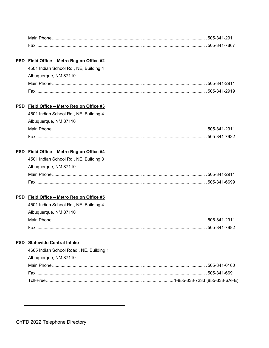#### PSD Field Office - Metro Region Office #2

| 4501 Indian School Rd., NE, Building 4 |  |
|----------------------------------------|--|
| Albuquerque, NM 87110                  |  |
|                                        |  |
|                                        |  |

#### PSD Field Office - Metro Region Office #3

| 4501 Indian School Rd., NE, Building 4 |  |
|----------------------------------------|--|
| Albuquerque, NM 87110                  |  |
|                                        |  |
|                                        |  |

#### PSD Field Office - Metro Region Office #4

| 4501 Indian School Rd., NE, Building 3 |  |
|----------------------------------------|--|
| Albuquerque, NM 87110                  |  |
|                                        |  |
|                                        |  |

### PSD Field Office - Metro Region Office #5

| 4501 Indian School Rd., NE, Building 4 |  |
|----------------------------------------|--|
| Albuquerque, NM 87110                  |  |
|                                        |  |
|                                        |  |

#### PSD Statewide Central Intake

| 4665 Indian School Road., NE, Building 1 |  |
|------------------------------------------|--|
| Albuquerque, NM 87110                    |  |
|                                          |  |
|                                          |  |
|                                          |  |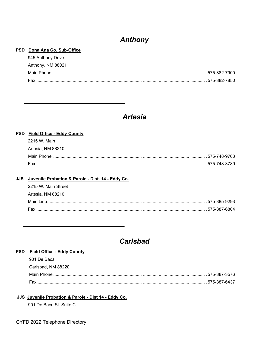# **Anthony**

#### PSD Dona Ana Co. Sub-Office

| 945 Anthony Drive |  |
|-------------------|--|
| Anthony, NM 88021 |  |
|                   |  |
|                   |  |

# **Artesia**

| PSD Field Office - Eddy County                           |  |
|----------------------------------------------------------|--|
| 2215 W. Main                                             |  |
| Artesia, NM 88210                                        |  |
|                                                          |  |
|                                                          |  |
|                                                          |  |
| JJS    Juvenile Probation & Parole - Dist. 14 - Eddy Co. |  |

| 2215 W. Main Street |  |
|---------------------|--|
| Artesia. NM 88210   |  |
|                     |  |
| Fax                 |  |

# **Carlsbad**

#### PSD Field Office - Eddy County

| 901 De Baca        |  |
|--------------------|--|
| Carlsbad. NM 88220 |  |
|                    |  |
|                    |  |

#### JJS Juvenile Probation & Parole - Dist 14 - Eddy Co.

901 De Baca St. Suite C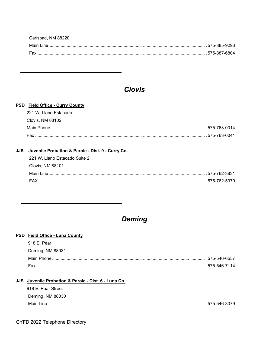| Carlsbad, NM 88220 |  |
|--------------------|--|
|                    |  |
| Fax                |  |

# **Clovis**

### PSD Field Office - Curry County

| 221 W. Llano Estacado |  |
|-----------------------|--|
| Clovis, NM 88102      |  |
|                       |  |
|                       |  |

### JJS Juvenile Probation & Parole - Dist. 9 - Curry Co.

| - 221 W. Llano Estacado Suite 2 |  |
|---------------------------------|--|
| Clovis, NM 88101                |  |
|                                 |  |
|                                 |  |

# **Deming**

| <b>PSD</b> Field Office - Luna County                |               |
|------------------------------------------------------|---------------|
| 918 E. Pear                                          |               |
| Deming, NM 88031                                     |               |
|                                                      | 575-546-6557  |
|                                                      |               |
|                                                      |               |
| JJS Juvenile Probation & Parole - Dist. 6 - Luna Co. |               |
| 918 E. Pear Street                                   |               |
| Deming, NM 88030                                     |               |
| Main Line                                            | .575-546-3079 |
|                                                      |               |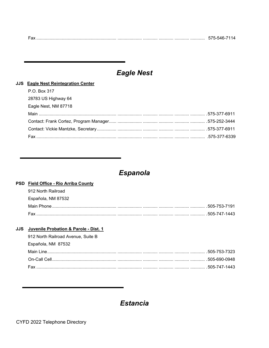| $\overline{\phantom{a}}$ |  |
|--------------------------|--|
|--------------------------|--|

# **Eagle Nest**

#### JJS Eagle Nest Reintegration Center

| Eagle Nest, NM 87718 |  |
|----------------------|--|
| 28783 US Highway 64  |  |
| P.O. Box 317         |  |

# Espanola

#### PSD Field Office - Rio Arriba County

| 912 North Railroad |  |
|--------------------|--|
| Española, NM 87532 |  |
|                    |  |
|                    |  |

#### JJS Juvenile Probation & Parole - Dist. 1

| 912 North Railroad Avenue, Suite B |  |
|------------------------------------|--|
| Española, NM 87532                 |  |
|                                    |  |
|                                    |  |
|                                    |  |

# **Estancia**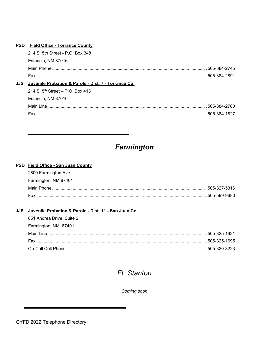|     | <b>PSD</b> Field Office - Torrance County            |               |
|-----|------------------------------------------------------|---------------|
|     | 214 S. 5th Street - P.O. Box 348                     |               |
|     | Estancia. NM 87016                                   |               |
|     |                                                      |               |
|     |                                                      |               |
| JJS | Juvenile Probation & Parole - Dist. 7 - Torrance Co. |               |
|     | 214 S. $5^{th}$ Street – P.O. Box 413                |               |
|     | Estancia. NM 87016                                   |               |
|     |                                                      | .505-384-2780 |
|     | Fax                                                  |               |
|     |                                                      |               |

# Farmington

#### PSD Field Office - San Juan County

| 2800 Farmington Ave  |  |
|----------------------|--|
| Farmington, NM 87401 |  |
|                      |  |
|                      |  |

### JJS Juvenile Probation & Parole - Dist. 11 - San Juan Co.

| 851 Andrea Drive, Suite 2 |  |
|---------------------------|--|
| Farmington, NM 87401      |  |
|                           |  |
|                           |  |
|                           |  |

# Ft. Stanton

Coming soon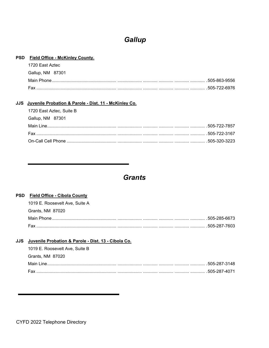# Gallup

#### PSD Field Office - McKinley County.

| 1720 East Aztec  |  |
|------------------|--|
| Gallup, NM 87301 |  |
|                  |  |
|                  |  |

#### JJS Juvenile Probation & Parole - Dist. 11 - McKinley Co.

| 1720 East Aztec, Suite B |  |
|--------------------------|--|
| Gallup, NM 87301         |  |
|                          |  |
|                          |  |
|                          |  |

# **Grants**

#### PSD Field Office - Cibola County

| 1019 E. Roosevelt Ave. Suite A |  |
|--------------------------------|--|
| Grants, NM 87020               |  |
|                                |  |
|                                |  |

#### JJS Juvenile Probation & Parole - Dist. 13 - Cibola Co.

| 1019 E. Roosevelt Ave. Suite B |  |
|--------------------------------|--|
| Grants, NM 87020               |  |
|                                |  |
|                                |  |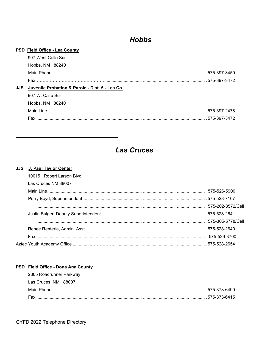# **Hobbs**

#### PSD Field Office - Lea County

|     | 907 West Calle Sur                              |               |
|-----|-------------------------------------------------|---------------|
|     | Hobbs, NM 88240                                 |               |
|     |                                                 |               |
|     |                                                 |               |
| JJS | Juvenile Probation & Parole - Dist. 5 - Lea Co. |               |
|     | 907 W. Calle Sur                                |               |
|     | Hobbs, NM 88240                                 |               |
|     |                                                 | .575-397-2478 |
|     | <b>Fax</b>                                      |               |
|     |                                                 |               |

# **Las Cruces**

### JJS J. Paul Taylor Center

| 10015 Robert Larson Blvd |  |  |
|--------------------------|--|--|
| Las Cruces NM 88007      |  |  |
|                          |  |  |
|                          |  |  |
|                          |  |  |
|                          |  |  |
|                          |  |  |
|                          |  |  |
|                          |  |  |
|                          |  |  |

#### PSD Field Office - Dona Ana County

| 2805 Roadrunner Parkway |  |
|-------------------------|--|
| Las Cruces, NM 88007    |  |
|                         |  |
|                         |  |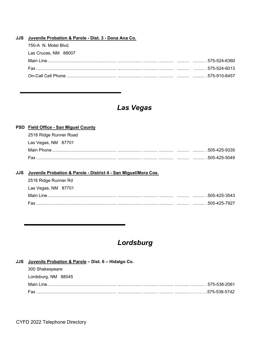#### JJS Juvenile Probation & Parole - Dist. 3 - Dona Ana Co.

| 750-A N. Motel Blvd. |  |
|----------------------|--|
| Las Cruces, NM 88007 |  |
|                      |  |
|                      |  |
|                      |  |

# Las Vegas

#### PSD Field Office - San Miguel County

| 2518 Ridge Runner Road |  |
|------------------------|--|
| Las Vegas, NM 87701    |  |
|                        |  |
|                        |  |

#### JJS Juvenile Probation & Parole - District 4 - San Miguel/Mora Cos.

| 2518 Ridge Runner Rd |  |
|----------------------|--|
| Las Vegas, NM 87701  |  |
|                      |  |
|                      |  |

# Lordsburg

# JJS Juvenile Probation & Parole - Dist. 6 - Hidalgo Co.

| 300 Shakespeare     |  |
|---------------------|--|
| Lordsburg, NM 88045 |  |
|                     |  |
|                     |  |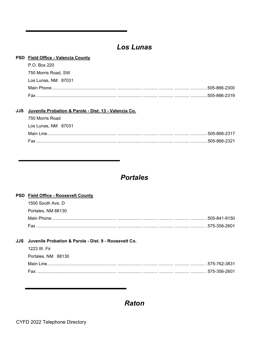# **Los Lunas**

| <b>PSD</b> Field Office - Valencia County |
|-------------------------------------------|
| P.O. Box 220                              |
| 750 Morris Road, SW                       |
| Los Lunas, NM 87031                       |
| .505-866-2300                             |
| Fax<br>.505-866-2319                      |
|                                           |
|                                           |

#### JJS Juvenile Probation & Parole - Dist. 13 - Valencia Co.

| 750 Morris Road     |  |
|---------------------|--|
| Los Lunas, NM 87031 |  |
|                     |  |
|                     |  |

# **Portales**

#### PSD Field Office - Roosevelt County

| 1500 South Ave. D  |  |
|--------------------|--|
| Portales, NM 88130 |  |
|                    |  |
|                    |  |

#### JJS Juvenile Probation & Parole - Dist. 9 - Roosevelt Co.

| 1223 W. Fir        |  |
|--------------------|--|
| Portales, NM 88130 |  |
|                    |  |
|                    |  |

**Raton**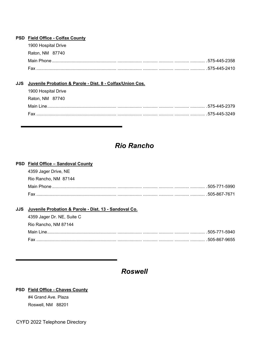#### **PSD Field Office - Colfax County**

| 1900 Hospital Drive |  |
|---------------------|--|
| Raton, NM 87740     |  |
|                     |  |
|                     |  |

#### **JJS Juvenile Probation & Parole - Dist. 8 - Colfax/Union Cos.**

| 1900 Hospital Drive |  |
|---------------------|--|
| Raton, NM 87740     |  |
|                     |  |
|                     |  |

# *Rio Rancho*

#### **PSD Field Office – Sandoval County**

| 4359 Jager Drive, NE |  |
|----------------------|--|
| Rio Rancho, NM 87144 |  |
|                      |  |
|                      |  |

#### **JJS Juvenile Probation & Parole - Dist. 13 - Sandoval Co.**

| 4359 Jager Dr. NE, Suite C |  |
|----------------------------|--|
| Rio Rancho, NM 87144       |  |
|                            |  |
|                            |  |

# *Roswell*

#### **PSD Field Office - Chaves County**

#4 Grand Ave. Plaza Roswell, NM 88201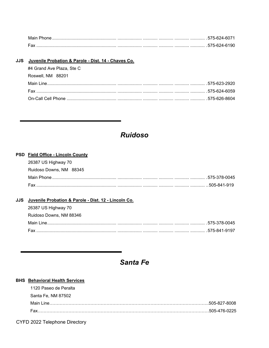| Main Phor  |               |
|------------|---------------|
| <b>Fay</b> | .575-624-6190 |

|  | JJS Juvenile Probation & Parole - Dist. 14 - Chaves Co. |  |
|--|---------------------------------------------------------|--|
|  | #4 Grand Ave Plaza, Ste C                               |  |
|  | Roswell, NM 88201                                       |  |
|  |                                                         |  |
|  |                                                         |  |
|  |                                                         |  |

# **Ruidoso**

#### PSD Field Office - Lincoln County

| 26387 US Highway 70     |  |
|-------------------------|--|
| Ruidoso Downs, NM 88345 |  |
|                         |  |
|                         |  |

#### JJS Juvenile Probation & Parole - Dist. 12 - Lincoln Co.

| 26387 US Highway 70     |  |
|-------------------------|--|
| Ruidoso Downs, NM 88346 |  |
|                         |  |
|                         |  |

# Santa Fe

### **BHS** Behavioral Health Services

| 1120 Paseo de Peralta |  |
|-----------------------|--|
| Santa Fe, NM 87502    |  |
|                       |  |
|                       |  |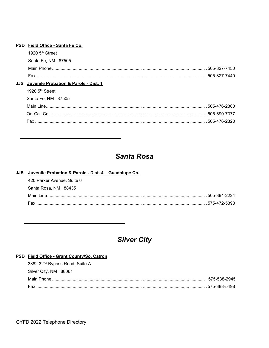| <b>PSD</b> | Field Office - Santa Fe Co.           |               |
|------------|---------------------------------------|---------------|
|            | 1920 $5th$ Street                     |               |
|            | Santa Fe, NM 87505                    |               |
|            |                                       | .505-827-7450 |
|            |                                       |               |
| JJS.       | Juvenile Probation & Parole - Dist. 1 |               |
|            | 1920 $5th$ Street                     |               |
|            | Santa Fe, NM 87505                    |               |
|            |                                       |               |
|            |                                       |               |
|            | Fax                                   | .505-476-2320 |
|            |                                       |               |

# **Santa Rosa**

### JJS Juvenile Probation & Parole - Dist. 4 - Guadalupe Co.

| 420 Parker Avenue, Suite 6 |  |
|----------------------------|--|
| Santa Rosa, NM 88435       |  |
|                            |  |
|                            |  |

# **Silver City**

### PSD Field Office - Grant County/So. Catron

| 3882 32 <sup>nd</sup> Bypass Road, Suite A |  |
|--------------------------------------------|--|
| Silver City, NM 88061                      |  |
|                                            |  |
|                                            |  |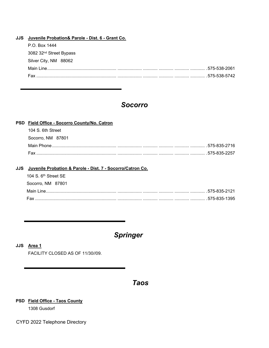| JJS Juvenile Probation& Parole - Dist. 6 - Grant Co. |              |
|------------------------------------------------------|--------------|
| P.O. Box 1444                                        |              |
| 3082 32 <sup>nd</sup> Street Bypass                  |              |
| Silver City, NM 88062                                |              |
|                                                      | 575-538-2061 |
|                                                      |              |
|                                                      |              |

# *Socorro*

| PSD Field Office - Socorro County/No. Catron |               |
|----------------------------------------------|---------------|
| 104 S. 6th Street                            |               |
| Socorro, NM 87801                            |               |
|                                              | 575-835-2716  |
| Fax                                          | .575-835-2257 |

#### **JJS Juvenile Probation & Parole - Dist. 7 - Socorro/Catron Co.**

| 104 S $6th$ Street SF |
|-----------------------|
| Socorro, NM 87801     |
|                       |
|                       |

# *Springer*

#### **JJS Area 1**

FACILITY CLOSED AS OF 11/30//09.

# *Taos*

### **PSD Field Office - Taos County**

1308 Gusdorf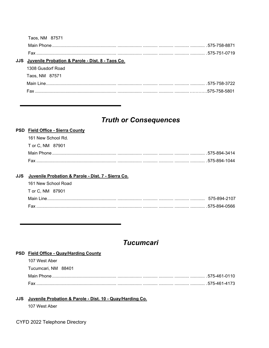| Taos, NM 87571                                       |  |
|------------------------------------------------------|--|
|                                                      |  |
|                                                      |  |
| JJS Juvenile Probation & Parole - Dist. 8 - Taos Co. |  |
| 1308 Gusdorf Road                                    |  |
| Taos, NM 87571                                       |  |
|                                                      |  |
| <b>Fax</b>                                           |  |
|                                                      |  |

# **Truth or Consequences**

# PSD Field Office - Sierra County 161 New School Rd. T or C, NM 87901

#### JJS Juvenile Probation & Parole - Dist. 7 - Sierra Co.

| 161 New School Road |  |
|---------------------|--|
| T or C. NM 87901    |  |
|                     |  |
|                     |  |

# **Tucumcari**

#### PSD Field Office - Quay/Harding County

| 107 West Aber       |  |
|---------------------|--|
| Tucumcari. NM 88401 |  |
|                     |  |
|                     |  |

#### JJS Juvenile Probation & Parole - Dist. 10 - Quay/Harding Co.

107 West Aber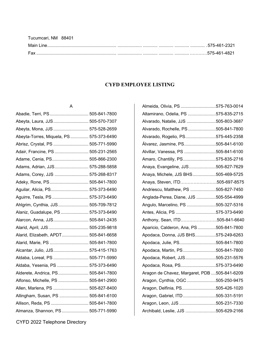| Tucumcari, NM 88401 |  |
|---------------------|--|
|                     |  |
|                     |  |

### **CYFD EMPLOYEE LISTING**

#### A

| Abeyta, Laura, JJS 505-570-7307          |  |
|------------------------------------------|--|
| Abeyta, Mona, JJS  575-528-2659          |  |
| Abeyta-Torres, Miquela, PS  575-373-6490 |  |
| Abrisz, Crystal, PS  505-771-5990        |  |
| Adair, Francine, PS  505-231-2565        |  |
| Adame, Cenia, PS 505-866-2300            |  |
| Adams, Adrian, JJS 575-288-5858          |  |
| Adams, Corey, JJS  575-268-8317          |  |
| Adeky, Rone, PS 505-841-7800             |  |
| Aguilar, Alicia, PS 575-373-6490         |  |
| Aguirre, Tesla, PS  575-373-6490         |  |
| Ahlgrim, Cynthia, JJS 505-709-7812       |  |
| Alaniz, Guadalupe, PS  575-373-6490      |  |
| Alarcon, Anna, JJS 505-841-2435          |  |
| Alarid, April, JJS 505-235-9818          |  |
| Alarid, Elizabeth, APDT 505-841-6658     |  |
| Alarid, Marie, PS  505-841-7800          |  |
| Alcantar, Julio, JJS 575-415-1763        |  |
| Aldaba, Loreal, PS  505-771-5990         |  |
| Aldaba, Yesenia, PS  575-373-6490        |  |
| Alderete, Andrica, PS 505-841-7800       |  |
| Alfonso, Michelle, PS  505-841-2900      |  |
| Allen, Marlena, PS  505-827-8400         |  |
| Allingham, Susan, PS  505-841-6100       |  |
| Allison, Reda, PS  505-841-7800          |  |
| Almanza, Shannon, PS 505-771-5990        |  |

| Almeida, Olivia, PS575-763-0014              |  |
|----------------------------------------------|--|
| Altamirano, Odelia, PS 575-835-2715          |  |
| Alvarado, Natalie, JJS 505-803-3687          |  |
| Alvarado, Rochelle, PS505-841-7800           |  |
| Alvarado, Rogelio, PS575-445-2358            |  |
| Álvarez, Jasmine, PS505-841-6100             |  |
| Alvillar, Vanessa, PS 505-841-6100           |  |
| Amaro, Chantilly, PS575-835-2716             |  |
| Anaya, Evangeline, JJS505-827-7629           |  |
| Anaya, Michele, JJS BHS505-469-5725          |  |
| Anaya, Steven, ITD505-697-8575               |  |
| Andriescu, Matthew, PS 505-827-7450          |  |
| Anglada-Perea, Diane, JJS 505-554-4999       |  |
| Angulo, Marcelino, PS 505-327-5316           |  |
| Antes, Alicia, PS 575-373-6490               |  |
| Anthony, Sean, ITD505-841-6640               |  |
| Aparicio, Calderon, Ana, PS 505-841-7800     |  |
| Apodaca, Donna, JJS BHS575-249-6263          |  |
| Apodaca, Julie, PS505-841-7800               |  |
| Apodaca, Martin, PS505-841-7800              |  |
| Apodaca, Robert, JJS505-231-5576             |  |
| Apodaca, Rosa, PS575-373-6490                |  |
| Aragon de Chavez, Margaret, PDB 505-841-6209 |  |
| Aragon, Cynthia, OGC505-250-9475             |  |
| Aragon, Delfinia, PS505-426-1020             |  |
| Aragon, Gabriel, ITD 505-331-5191            |  |
| Aragon, Leon, JJS 505-231-7330               |  |
| Archibald, Leslie, JJS 505-629-2166          |  |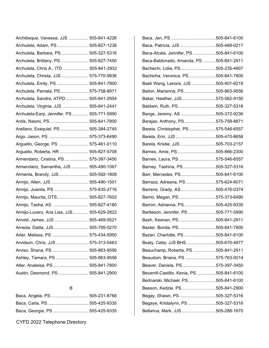| Archibeque, Vanessa, JJS  505-841-4226    |  |
|-------------------------------------------|--|
| Archuleta, Adam, PS 505-827-1238          |  |
| Archuleta, Barbara, PS  505-327-5316      |  |
| Archuleta, Brittany, PS  505-827-7450     |  |
| Archuleta, Chris A., ITD 505-841-2932     |  |
| Archuleta, Christa, JJS 575-770-9936      |  |
| Archuleta, Emily, PS  505-841-7800        |  |
| Archuleta, Pamela, PS  575-758-8871       |  |
| Archuleta, Sandra, ATPD 505-841-2954      |  |
| Archuleta, Virginia, JJS  505-841-2441    |  |
| Archuleta-Earp, Jennifer, PS 505-771-5990 |  |
| Ardis, Naomi, PS 505-841-7800             |  |
| Arellano, Exequiel, PS  505-384-2745      |  |
| Argo, Jason, PS  575-373-6490             |  |
| Arguello, George, PS  575-461-0110        |  |
| Arguello, Roberta, HR  505-827-5708       |  |
| Armendariz, Cristina, PS 575-397-3450     |  |
| Armendariz, Samantha, JJS  505-490-1067   |  |
| Armenta, Brandy, JJS  505-592-1808        |  |
| Armijo, Allen, JJS  505-490-1501          |  |
| Armijo, Juanita, PS 575-835-2716          |  |
| Armijo, Maurita, OTS 505-827-7602         |  |
| Armijo, Tasha, AS  505-827-4180           |  |
| Armijo-Lucero, Ana Lisa, JJS 505-629-2822 |  |
| Arnold, James, JJS  505-469-5521          |  |
| Arreola, Dalila, JJS 505-795-0270         |  |
| Arter, Melissa, PS  575-434-5950          |  |
| Arvidson, Chris, JJS 575-313-5463         |  |
| Arviso, Shana, PS  505-863-9556           |  |
| Ashley, Tamara, PS  505-863-9556          |  |
| Atler, Analeisa, PS  505-841-7800         |  |
| Austin, Desmond, PS  505-841-2900         |  |

# B

| Baca, Angela, PS  505-231-8768  |  |
|---------------------------------|--|
|                                 |  |
| Baca, Georgia, PS  505-425-9335 |  |

| Baca, Patricia, JJS 505-469-0217          |  |
|-------------------------------------------|--|
| Baca-Alcala, Jennifer, PS 505-841-6100    |  |
| Baca-Baldonado, Amanda, PS505-841-2911    |  |
| Bachechi, Lidia, PS505-235-4907           |  |
| Bachicha, Veronica, PS505-841-7800        |  |
| Baeli Wang, Lenore, JJS 505-401-6218      |  |
| Bailon, Marianna, PS505-863-9556          |  |
| Baker, Heather, JJS575-562-9150           |  |
| Baldwin, Ruth, PS505-327-5316             |  |
| Bangs, Jeremy, AS 505-372-9236            |  |
| Barajas, Anthony, PS575-758-8871          |  |
| Barela, Christopher, PS 575-546-6557      |  |
| Barela, Erin, JJS 505-470-8658            |  |
| Barela, Kristie, JJS505-703-2157          |  |
| Barnes, Amie, PS505-866-2300              |  |
| Barnes, Laura, PS575-546-6557             |  |
| Barney, Tashina, PS505-327-5316           |  |
| Barr, Mercedes, PS505-841-6100            |  |
| Barraza, Adreana, PS575-624-6071          |  |
| Barrens, Grady, AS505-476-0374            |  |
| Barrio, Megan, PS575-373-6490             |  |
| Barron, Adrianna, PS505-425-9335          |  |
| Bartleson, Jennifer, PS 505-771-5990      |  |
| Bash, Keenan, PS505-841-2911              |  |
| Baxter, Bonita, PS505-841-7800            |  |
| Bazan, Charlotte, PS 505-841-6100         |  |
| Beaty, Celia, JJS BHS 505-670-4977        |  |
| Beauchamp, Roberta, PS505-841-2911        |  |
| Beaudoin, Briana, PS 575-763-0014         |  |
| Beaver, Daniela, PS575-397-3450           |  |
| Becerrill-Castillo, Kenia, PS505-841-6100 |  |
| Bednarski, Michael, PS505-841-6100        |  |
| Beeson, Kedzie, PS505-841-2900            |  |
| Begay, Shawn, PS505-327-5316              |  |
| Begaye, Kristalynn, PS 505-327-5316       |  |
| Bellanca, Mark, JJS 505-288-1670          |  |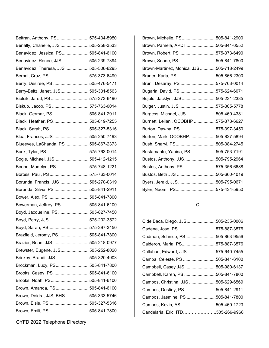| Beltran, Anthony, PS 575-434-5950     |  |
|---------------------------------------|--|
| Benally, Chanelle, JJS  505-258-3533  |  |
| Benavidez, Jessica, PS 505-841-6100   |  |
| Benavidez, Renee, JJS 505-239-7394    |  |
| Benavidez, Theresa, JJS  505-506-6295 |  |
| Bernal, Cruz, PS  575-373-6490        |  |
| Berry, Desiree, PS  505-476-5471      |  |
| Berry-Beltz, Janet, JJS 505-331-8563  |  |
| Bielcik, Jared, PS  575-373-6490      |  |
| Biskup, Jacob, PS  575-763-0014       |  |
| Black, Germar, PS  505-841-2911       |  |
| Black, Heather, PS 505-819-7255       |  |
| Black, Sarah, PS  505-327-5316        |  |
| Blea, Frances, JJS  505-250-7493      |  |
| Blueeyes, LaShanda, PS  505-867-2373  |  |
| Bock, Tyler, PS 575-763-0014          |  |
| Bogle, Michael, JJS  505-412-1215     |  |
| Boone, Madelyn, PS  575-748-1221      |  |
| Boross, Paul, PS  575-763-0014        |  |
| Borunda, Francis, JJS 505-270-0319    |  |
| Borunda, Silvia, PS  505-841-2911     |  |
| Bower, Alex, PS  505-841-7800         |  |
| Bowerman, Jeffrey, PS  505-841-6100   |  |
| Boyd, Jacqueline, PS  505-827-7450    |  |
| Boyd, Perry, JJS  575-202-3572        |  |
| Boyd, Sarah, PS 575-397-3450          |  |
| Brazfield, Jeromy, PS 505-841-7800    |  |
| Brazier, Brian, JJS  505-218-0977     |  |
| Brewster, Eugene, JJS 505-252-8020    |  |
| Brickey, Brandi, JJS  505-320-4903    |  |
| Brockman, Lucy, PS 505-841-7800       |  |
| Brooks, Casey, PS  505-841-6100       |  |
| Brooks, Noah, PS 505-841-6100         |  |
| Brown, Amanda, PS 505-841-6100        |  |
| Brown, Deidra, JJS, BHS  505-333-5746 |  |
| Brown, Elsie, PS  505-327-5316        |  |
| Brown, Emili, PS  505-841-7800        |  |

CYFD 2022 Telephone Directory

| Brown, Michelle, PS505-841-2900          |
|------------------------------------------|
| Brown, Pamela, APDT505-841-6552          |
| Brown, Robert, PS 575-373-6490           |
| Brown, Seane, PS505-841-7800             |
| Brown-Martinez, Monica, JJS 505-718-2499 |
| Bruner, Karla, PS505-866-2300            |
| Bruni, Desaray, PS 575-763-0014          |
| Bugarin, David, PS575-624-6071           |
| Bujold, Jacklyn, JJS 505-231-2385        |
| Bulger, Justin, JJS 575-305-5778         |
| Burgess, Michael, JJS 505-469-4381       |
| Burnett, Leilani, OCOBHP 575-373-6627    |
| Burton, Dawna, PS 575-397-3450           |
| Burton, Mark, OCOBHP505-827-5894         |
| Bush, Sharyl, PS505-384-2745             |
| Bustamante, Yanina, PS505-753-7191       |
| Bustos, Anthony, JJS505-795-2964         |
| Bustos, Anthony, PS575-356-6688          |
| Bustos, Beth JJS 505-660-4019            |
| Byers, Jerald, JJS505-795-0671           |
| Byler, Naomi, PS575-434-5950             |
|                                          |

# C

| C de Baca, Diego, JJS505-235-0006   |  |
|-------------------------------------|--|
| Cadena, Jose, PS575-887-3576        |  |
| Cadman, Schnice, PS505-863-9556     |  |
| Calderon, Maria, PS575-887-3576     |  |
| Callahan, Edward, JJS 575-640-7455  |  |
| Campa, Celeste, PS 505-841-6100     |  |
| Campbell, Casey JJS 505-980-6137    |  |
| Campbell, Karen, PS 505-841-7800    |  |
| Campos, Christina, JJS 505-629-6569 |  |
| Campos, Destiny, PS505-841-2911     |  |
| Campos, Jasmine, PS 505-841-7800    |  |
| Campos, Kevin, AS505-469-1723       |  |
| Candelaria, Eric, ITD505-269-9968   |  |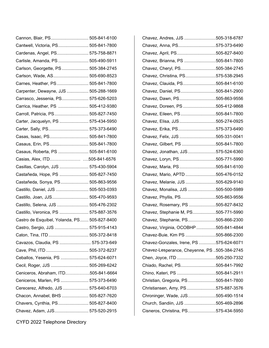| Cannon, Blair, PS 505-841-6100               |  |
|----------------------------------------------|--|
| Cantwell, Victoria, PS 505-841-7800          |  |
| Cardenas, Angel, PS 575-758-8871             |  |
| Carlisle, Amanda, PS  505-490-5911           |  |
| Carlson, Georgette, PS  505-384-2745         |  |
| Carlson, Wade, AS 505-690-8523               |  |
| Carnes, Heather, PS  505-841-7800            |  |
| Carpenter, Dewayne, JJS  505-288-1669        |  |
| Carrasco, Jessenia, PS 575-626-5203          |  |
| Carrica, Heather, PS  505-412-9380           |  |
| Carroll, Patricia, PS 505-827-7450           |  |
| Carter, Jacquelyn, PS  575-434-5950          |  |
| Carter, Sally, PS 575-373-6490               |  |
| Casas, Isaac, PS 505-841-7800                |  |
| Casaus, Erin, PS 505-841-7800                |  |
| Casaus, Roberta, PS  505-841-6100            |  |
| Casias, Alex, ITD505-841-6576                |  |
| Casillas, Carolyn, JJS  575-430-5904         |  |
| Castañeda, Hope, PS  505-827-7450            |  |
| Castañeda, Sonya, PS 505-863-9556            |  |
| Castillo, Daniel, JJS  505-503-0393          |  |
| Castillo, Joan, JJS 505-470-9593             |  |
| Castillo, Selena, JJS  505-476-2302          |  |
| Castillo, Veronica, PS  575-887-3576         |  |
| Castro de Esquibel, Yolanda, PS 505-827-8400 |  |
| Castro, Sergio, JJS  575-915-4143            |  |
| Caton, Tina, ITD  505-372-8418               |  |
| Cavazos, Claudia, PS  575-373-649            |  |
|                                              |  |
| Ceballos, Yesenia, PS  575-624-6071          |  |
| Cecil, Roger, JJS  505-269-6242              |  |
| Ceniceros, Abraham, ITD505-841-6664          |  |
| Ceniceros, Marlen, PS  575-373-6490          |  |
| Cerecerez, Alfredo, JJS  575-640-6703        |  |
| Chacon, Annabel, BHS  505-827-7620           |  |
| Chavers, Cynthia, PS 505-827-8400            |  |
| Chavez, Adam, JJS 575-520-2915               |  |

| Chavez, Andres, JJS 505-318-6787             |  |
|----------------------------------------------|--|
| Chavez, Anna, PS575-373-6490                 |  |
| Chavez, April, PS505-827-8400                |  |
| Chavez, Brianna, PS 505-841-7800             |  |
| Chavez, Cheryl, PS505-384-2745               |  |
| Chavez, Christina, PS575-538-2945            |  |
| Chavez, Clauida, PS505-841-6100              |  |
| Chavez, Daniel, PS505-841-2900               |  |
| Chavez, Dawn, PS505-863-9556                 |  |
| Chavez, Doreen, PS 505-412-9868              |  |
| Chavez, Eileen, PS505-841-7800               |  |
| Chavez, Elisa, JJS505-274-0925               |  |
| Chavez, Erika, PS575-373-6490                |  |
| Chavez, Felix, JJS 505-331-0041              |  |
| Chavez, Gilbert, PS 505-841-7800             |  |
| Chavez, Jonathan, JJS575-524-6360            |  |
| Chavez, Loryn, PS505-771-5990                |  |
| Chavez, Maria, PS505-841-6100                |  |
| Chavez, Mario, APTD 505-476-0152             |  |
| Chavez, Melanie, JJS 505-629-9140            |  |
| Chavez, Monalisa, JJS 505-500-5989           |  |
| Chavez, Phyllis, PS505-863-9556              |  |
| Chavez, Rosemary, PS 505-827-8432            |  |
| Chavez, Stephanie M, PS505-771-5990          |  |
| Chavez, Stephanie, PS505-866-2300            |  |
| Chavez, Virginia, OCOBHP 505-841-4844        |  |
| Chavez-Buie, Kim PS 505-866-2300             |  |
| Chavez-Gonzales, Irene, PS 575-624-6071      |  |
| Chavez-Lesperance, Cheyenne, PS 505-384-2745 |  |
| Chen, Joyce, ITD 505-250-7332                |  |
| Chiado, Rachel, PS505-841-7992               |  |
| Chino, Kateri, PS 505-841-2911               |  |
| Christian, Gregoria, PS505-841-7800          |  |
| Christiansen, Amy, PS575-887-3576            |  |
| Chroninger, Wade, JJS505-490-1514            |  |
| Church, Sandiin, JJS 505-469-2896            |  |
| Cisneros, Christina, PS575-434-5950          |  |
|                                              |  |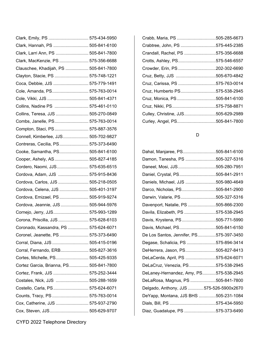| Clark, Emily, PS  575-434-5950          |  |
|-----------------------------------------|--|
| Clark, Hannah, PS  505-841-6100         |  |
| Clark, Larri Ann, PS  505-841-7800      |  |
| Clark, MacKenzie, PS  575-356-6688      |  |
| Clauschee, Khadijah, PS  505-841-7800   |  |
| Clayton, Stacie, PS  575-748-1221       |  |
| Coca, Debbie, JJS  575-779-1491         |  |
| Cole, Amanda, PS 575-763-0014           |  |
|                                         |  |
| Collins, Nadine PS  575-461-0110        |  |
| Collins, Teresa, JJS  505-270-0849      |  |
| Combs, Janelle, PS 575-763-0014         |  |
| Compton, Staci, PS 575-887-3576         |  |
| Connell, Kimberlee, JJS 505-702-9827    |  |
| Contreras, Cecilia, PS 575-373-6490     |  |
| Cooke, Samantha, PS 505-841-6100        |  |
| Cooper, Ashely, AS 505-827-4185         |  |
| Cordero, Naomi, JJS 575-635-6515        |  |
| Cordova, Adam, JJS  575-915-8436        |  |
| Cordova, Carlos, JJS  505-218-0505      |  |
| Cordova, Celena, JJS  505-401-3197      |  |
| Cordova, Emizael, PS  505-919-9274      |  |
| Cordova, Jeannie, JJS  505-944-5976     |  |
| Cornejo, Jerry, JJS 575-993-1289        |  |
| Corona, Priscilla, JJS  575-628-6103    |  |
| Coronado, Kassandra, PS  575-624-6071   |  |
| Coronel, Jeanette, PS  575-373-6490     |  |
| Corral, Diana, JJS  505-415-0196        |  |
| Corral, Fernando, ERB 505-827-3616      |  |
| Cortes, Michelle, PS 505-425-9335       |  |
| Cortez Garcia, Brianna, PS 505-841-7800 |  |
| Cortez, Frank, JJS  575-252-3444        |  |
| Costales, Nick, JJS  505-288-1659       |  |
| Costello, Carla, PS 575-624-6071        |  |
| Counts, Tracy, PS  575-763-0014         |  |
| Cox, Catherine, JJS  575-937-2790       |  |
| Cox, Steven, JJS 505-629-9707           |  |

| Crabtree, John, PS 575-445-2385    |  |
|------------------------------------|--|
| Crandall, Rachel, PS 575-356-6688  |  |
| Crotts, Ashley, PS575-546-6557     |  |
| Crowder, Erin, PS 202-302-6690     |  |
| Cruz, Betty, JJS 505-670-4842      |  |
| Cruz, Carissa, PS 575-763-0014     |  |
| Cruz, Humberto PS575-538-2945      |  |
| Cruz, Monica, PS505-841-6100       |  |
|                                    |  |
| Culley, Christine, JJS505-629-2989 |  |
| Curley, Angel, PS505-841-7800      |  |

## D

| Dahal, Manjaree, PS505-841-6100         |  |
|-----------------------------------------|--|
| Damon, Tanesha, PS 505-327-5316         |  |
| Daneel, Mosi, JJS505-280-7951           |  |
| Daniel, Crystal, PS505-841-2911         |  |
| Daniels, Michael, JJS 505-980-4649      |  |
| Darco, Nicholas, PS505-841-2900         |  |
| Darwin, Valarie, PS505-327-5316         |  |
| Davenport, Natalie, PS 505-866-2300     |  |
| Davila, Elizabeth, PS 575-538-2945      |  |
| Davis, Krystena, PS505-771-5990         |  |
| Davis, Michael, PS505-841-6150          |  |
| De Los Santos, Jennifer, PS575-397-3450 |  |
| Degase, Schalicia, PS 575-894-3414      |  |
| DeHerrera, Jason, PS505-827-8413        |  |
| DeLaCerda, April, PS 575-624-6071       |  |
| DeLaCruz, Venezia, PS575-538-2945       |  |
| DeLaney-Hernandez, Amy, PS575-538-2945  |  |
| DeLaRosa, Magnus, PS 505-841-7800       |  |
| Delgado, Anthony, JJS 575-526-5900x2670 |  |
| DeYapp, Montana, JJS BHS 505-231-1084   |  |
|                                         |  |
| Diaz, Guadalupe, PS 575-373-6490        |  |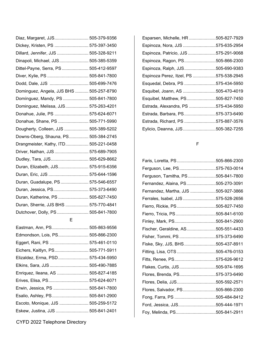| Diaz, Margaret, JJS 505-379-9356         |  |
|------------------------------------------|--|
| Dickey, Kristen, PS  575-397-3450        |  |
| Dillard, Jennifer, JJS  505-328-9211     |  |
| Dinapoli, Michael, JJS 505-385-5359      |  |
| Dittel-Payne, Serra, PS 505-412-9597     |  |
| Diver, Kylie, PS  505-841-7800           |  |
| Dodd, Dale, JJS  505-699-7476            |  |
| Dominguez, Angela, JJS BHS  505-257-8790 |  |
| Domínguez, Mandy, PS  505-841-7800       |  |
| Dominguez, Melissa, JJS 575-263-4201     |  |
| Donahue, Julie, PS  575-624-6071         |  |
| Donahue, Shane, PS  505-771-5990         |  |
| Dougherty, Colleen, JJS  505-389-5202    |  |
| Downs-Oberg, Shauna, PS 505-384-2745     |  |
| Drangmeister, Kathy, ITD 505-221-0458    |  |
| Driver, Nathan, JJS  575-689-7905        |  |
| Dudley, Tara, JJS 505-629-8662           |  |
| Duran, Elizabeth, JJS 575-915-6356       |  |
| Duran, Eric, JJS  575-644-1596           |  |
| Duran, Guadalupe, PS  575-546-6557       |  |
| Duran, Jessica, PS 575-373-6490          |  |
| Duran, Katherine, PS  505-827-7450       |  |
| Duran, Sherrie, JJS BHS  575-770-4841    |  |
| Dutchover, Dolly, PS  505-841-7800       |  |
|                                          |  |

E

| Eastman, Ann, PS 505-863-9556      |  |
|------------------------------------|--|
| Edmondson, Lois, PS 505-866-2300   |  |
| Eggert, Rani, PS  575-461-0110     |  |
| Eichers, Kaitlyn, PS 505-771-5911  |  |
| Elizaldez, Erma, PSD 575-434-5950  |  |
| Elkins, Sara, JJS  505-490-7885    |  |
| Enriquez, Ileana, AS  505-827-4185 |  |
| Erives, Elisa, PS 575-624-6071     |  |
| Erwin, Jessica, PS  505-841-7800   |  |
| Esalio, Ashley, PS 505-841-2900    |  |
| Escoto, Monique, JJS  505-259-5172 |  |
| Eskew, Justina, JJS  505-841-2401  |  |

CYFD 2022 Telephone Directory

| Esparsen, Michelle, HR 505-827-7929    |  |
|----------------------------------------|--|
| Espinoza, Nora, JJS 575-635-2954       |  |
| Espinoza, Patricio, JJS 575-291-9068   |  |
| Espinoza, Ragon, PS505-866-2300        |  |
| Espinoza, Ralph, JJS505-690-9383       |  |
| Espinoza Perez, Itzel, PS 575-538-2945 |  |
| Esquedal, Debra, PS 575-434-5950       |  |
| Esquibel, Joann, AS 505-470-4019       |  |
| Esquibel, Matthew, PS505-827-7450      |  |
| Estrada, Alexandra, PS 575-434-5950    |  |
| Estrada, Barbara, PS575-373-6490       |  |
| Estrada, Richard, PS 575-887-3576      |  |
| Eylicio, Deanna, JJS 505-382-7255      |  |
|                                        |  |

F

| Faris, Loretta, PS505-866-2300      |  |
|-------------------------------------|--|
| Ferguson, Lee, PS575-763-0014       |  |
| Ferguson, Tamitha, PS505-841-7800   |  |
| Fernandez, Alaina, PS505-270-3091   |  |
| Fernandez, Martha, JJS 505-927-3866 |  |
| Ferrales, Isabel, JJS 575-528-2656  |  |
| Fierro, Rickie, PS505-827-7450      |  |
| Fierro, Tricia, PS505-841-6100      |  |
| Finley, Mark, PS505-841-2900        |  |
| Fischer, Geraldine, AS505-551-4433  |  |
| Fisher, Tommi, PS 575-373-6490      |  |
| Fiske, Sky, JJS, BHS505-437-8911    |  |
| Fitting, Lisa, OTS 505-476-0153     |  |
| Fitts, Renee, PS575-626-9612        |  |
| Flakes, Curtis, JJS505-974-1695     |  |
| Flores, Brenda, PS575-373-6490      |  |
| Flores, Delia, JJS505-592-2571      |  |
| Flores, Salvador, PS505-866-2300    |  |
| Fong, Farra, PS 505-484-8412        |  |
| Ford, Jessica, JJS505-444-1971      |  |
| Foy, Melinda, PS505-841-2911        |  |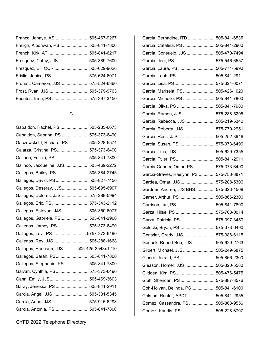| Franco, Janaye, AS 505-467-9267     |  |
|-------------------------------------|--|
| Freligh, Aloonwan, PS 505-841-7800  |  |
|                                     |  |
| Fresquez, Cathy, JJS  505-389-7609  |  |
| Fresquez, Eli, OCR  505-629-9626    |  |
| Frislid, Janice, PS  575-624-6071   |  |
| Fronatt, Cameron, JJS  575-524-6360 |  |
|                                     |  |
|                                     |  |
|                                     |  |

### G

| Gabaldon, Rachel, PS 505-285-6673        |  |
|------------------------------------------|--|
| Gabaldon, Sabrina, PS  575-373-6490      |  |
| Gaczewski III, Richard, PS 505-328-5574  |  |
| Galarza, Cristina, PS 575-373-6490       |  |
| Galindo, Felicia, PS 505-841-7800        |  |
| Galindo, Jacqueline, JJS 505-469-2272    |  |
| Gallegos, Bailey, PS  505-384-2745       |  |
| Gallegos, David, PS  505-827-7450        |  |
| Gallegos, Deseray, JJS 505-695-6907      |  |
| Gallegos, Dolores, JJS 575-288-5994      |  |
| Gallegos, Eric, PS  575-343-2112         |  |
| Gallegos, Estevan, JJS  505-350-6077     |  |
| Gallegos, Gabriela, PS 505-841-2900      |  |
| Gallegos, Jamey, PS 575-373-6490         |  |
| Gallegos, Levi, PS 5757-373-6490         |  |
| Gallegos, Rey, JJS 505-288-1668          |  |
| Gallegos, Roseann, JJS 505-425-3543x1210 |  |
| Gallegos, Sarah, PS 505-841-7800         |  |
| Gallegos, Stephanie, PS 505-841-7800     |  |
| Galvan, Cynthia, PS 575-373-6490         |  |
| Gann, Emily, JJS 505-469-3603            |  |
| Garay, Jenessa, PS  505-841-2911         |  |
| Garcia, Angel, JJS  505-331-5345         |  |
| Garcia, Anna, JJS  575-915-6293          |  |
| Garcia, Antonia, PS 505-841-7800         |  |

| Garcia, Bernadine, ITD 505-841-6535     |  |
|-----------------------------------------|--|
| Garcia, Catalina, PS 505-841-2900       |  |
| Garcia, Consuelo, JJS 505-470-7494      |  |
| Garcia, Joel, PS575-546-6557            |  |
| Garcia, Laura, PS 505-771-5990          |  |
| Garcia, Leah, PS505-841-2911            |  |
| Garcia, Lisa, PS575-624-6071            |  |
| Garcia, Marisela, PS505-426-1020        |  |
| Garcia, Michelle, PS 505-841-7800       |  |
| Garcia, Oliva, PS 505-841-7980          |  |
| Garcia, Ramon, JJS575-288-5295          |  |
| Garcia, Rebecca, JJS 505-219-5340       |  |
| Garcia, Roberta, JJS575-779-2951        |  |
| Garcia, Ross, JJS 505-252-3946          |  |
| Garcia, Susan, PS 575-373-6490          |  |
| Garcia, Tina, JJS 505-629-7355          |  |
| Garcia, Tyler, PS505-841-2911           |  |
| Garcia-Ganem, Omar, PS 575-373-6490     |  |
| Garcia-Graves, Raelynn, PS 575-758-8871 |  |
| Gardea, Omar, JJS575-288-5306           |  |
| Gardner, Andrea, JJS BHS575-323-4508    |  |
| Garner, Arthur, PS 505-866-2300         |  |
| Garrison, Ian, PS 505-841-7800          |  |
| Garza, Hilse, PS 575-763-0014           |  |
| Garza, Patricia, PS 575-397-3450        |  |
| Gelecki, Bryan, PS575-373-6490          |  |
| Gentzler, Grady, JJS575-386-6115        |  |
| Gerlock, Robert Bob, JJS 505-629-2763   |  |
| Gilbert, Michael, JJS505-249-6875       |  |
| Glaser, Jerrald, PS505-866-2300         |  |
| Gleason, Homer, JJS505-320-5580         |  |
| Glidden, Kim, PS505-476-5475            |  |
| Gluff, Sheridan, PS575-887-3576         |  |
| Goh-Holyan, Belinda, PS505-841-6100     |  |
| Golston, Reater, APDT 505-841-2955      |  |
| Gomez, Cassandra, PS505-863-9556        |  |
| Gomez, Kandis, PS505-228-6797           |  |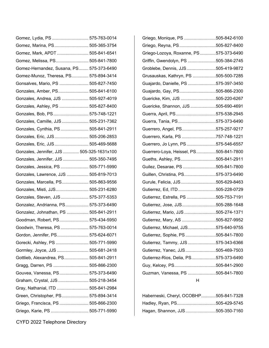| Gomez, Lydia, PS  575-763-0014            |  |
|-------------------------------------------|--|
| Gomez, Marina, PS 505-365-3754            |  |
| Gomez, Mark, APDT  505-841-6541           |  |
| Gomez, Melissa, PS 505-841-7800           |  |
| Gomez-Hernandez, Susana, PS 575-373-6490  |  |
| Gomez-Munoz, Theresa, PS 575-894-3414     |  |
| Gonsalves, Mario, PS  505-827-7450        |  |
| Gonzales, Amber, PS 505-841-6100          |  |
| Gonzales, Andrea, JJS  505-927-4019       |  |
| Gonzales, Ashley, PS  505-827-8400        |  |
| Gonzales, Bob, PS 575-748-1221            |  |
| Gonzales, Camille, JJS  505-231-7362      |  |
| Gonzales, Cynthia, PS  505-841-2911       |  |
| Gonzales, Eric, JJS 505-206-2853          |  |
| Gonzales, Eric, JJS 505-469-5688          |  |
| Gonzales, Jennifer, JJS  505-325-1631x100 |  |
| Gonzales, Jennifer, JJS  505-350-7495     |  |
| Gonzales, Jessica, PS  505-771-5990       |  |
| Gonzales, Lawrence, JJS  505-819-7013     |  |
| Gonzales, Marcella, PS 505-863-9556       |  |
| Gonzales, Misti, JJS 505-231-6280         |  |
| Gonzales, Steven, JJS 575-377-5353        |  |
| Gonzalez, Andrianna, PS 575-373-6490      |  |
| Gonzalez, Johnathan, PS  505-841-2911     |  |
| Goodman, Robert, PS 575-434-5950          |  |
| Goodwin, Theresa, PS  575-763-0014        |  |
| Gordon, Jennifer, PS 575-624-6071         |  |
| Gorecki, Ashley, PS  505-771-5990         |  |
| Gormley, Joyce, JJS  505-681-2418         |  |
| Gottlieb, Alexandrea, PS 505-841-2911     |  |
| Gragg, Darren, PS  505-866-2300           |  |
| Gouvea, Vanessa, PS 575-373-6490          |  |
| Graham, Crystal, JJS  505-218-3454        |  |
| Gray, Nathanial, ITD  505-841-2984        |  |
| Green, Christopher, PS 575-894-3414       |  |
| Griego, Francisca, PS  505-866-2300       |  |
| Griego, Karie, PS  505-771-5990           |  |

| Griego, Monique, PS 505-842-6100        |  |
|-----------------------------------------|--|
| Griego, Reyna, PS505-827-8400           |  |
| Griego-Lozoya, Roxanne, PS 575-373-6490 |  |
| Griffin, Gwendolyn, PS 505-384-2745     |  |
| Groblebe, Dennis, JJS505-419-9872       |  |
| Grusauskas, Kathryn, PS 505-500-7285    |  |
| Guajardo, Danielle, PS 575-397-3450     |  |
| Guajardo, Gay, PS505-866-2300           |  |
| Guericke, Kim, JJS 505-220-6267         |  |
| Guericke, Shannon, JJS 505-690-4691     |  |
| Guerra, April, PS575-538-2945           |  |
| Guerra, Tania, PS575-373-6490           |  |
| Guerrero, Angel, PS575-257-9217         |  |
| Guerrero, Karla, PS 757-748-1221        |  |
| Guerrero, Jo Lynn, PS 575-546-6557      |  |
| Guerrero-Loya, Heissel, PS505-841-7800  |  |
| Gueths, Ashley, PS505-841-2911          |  |
| Guilez, Desarae, PS 505-841-7800        |  |
| Guillen, Christina, PS575-373-6490      |  |
| Gurule, Felicia, JJS505-629-8463        |  |
| Gutierrez, Ed, ITD 505-228-0729         |  |
| Gutierrez, Estrella, PS 505-753-7191    |  |
| Gutierrez, Jose, JJS505-288-1648        |  |
| Gutierrez, Mario, JJS 505-274-1371      |  |
| Gutierrez, Mary, AS 505-827-9952        |  |
| Gutierrez, Michael, JJS575-640-9755     |  |
| Gutierrez, Sophie, PS 505-841-7800      |  |
| Gutierrez, Tammy, JJS 575-343-6366      |  |
| Gutierrez, Yanec, JJS505-469-7503       |  |
| Gutierrez-Rios, Delia, PS575-373-6490   |  |
| Guy, Kelcey, PS505-841-2900             |  |
| Guzman, Vanessa, PS 505-841-7800        |  |
| н                                       |  |

| Haberneski, Cheryl, OCOBHP505-841-7328 |  |
|----------------------------------------|--|
| Hadley, Ryan, PS505-429-5745           |  |
| Hagan, Shannon, JJS505-350-7160        |  |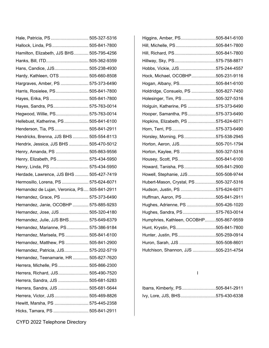| Hale, Patricia, PS  505-327-5316              |  |
|-----------------------------------------------|--|
| Hallock, Linda, PS 505-841-7800               |  |
| Hamilton, Elizabeth, JJS BHS 505-795-4256     |  |
|                                               |  |
| Hans, Candice, JJS 505-238-4930               |  |
| Hardy, Kathleen, OTS  505-660-8508            |  |
| Hargraves, Amber, PS  575-373-6490            |  |
| Harris, Rosielee, PS 505-841-7800             |  |
| Hayes, Erika, PS  505-841-7800                |  |
| Hayes, Sandra, PS 575-763-0014                |  |
| Hegwood, Willie, PS 575-763-0014              |  |
| Hellebust, Katherine, PS  505-841-6100        |  |
| Henderson, Tia, PS 505-841-2911               |  |
| Hendricks, Brenna, JJS BHS  505-554-8113      |  |
| Hendrix, Jessica, JJS BHS  505-470-5012       |  |
| Henry, Amanda, PS  505-863-9556               |  |
| Henry, Elizabeth, PS  575-434-5950            |  |
| Henry, Linda, PS  575-434-5950                |  |
| Herdade, Lawrence, JJS BHS  505-427-7419      |  |
| Hermosillo, Lorena, PS  575-624-6071          |  |
| Hernandez de Lujan, Veronica, PS 505-841-2911 |  |
| Hernandez, Grace, PS  575-373-6490            |  |
| Hernandez, Janie, OCOBHP  575-885-9293        |  |
| Hernandez, Jose, JJS  505-320-4180            |  |
| Hernandez, Julie, JJS BHS 575-649-6379        |  |
| Hernandez, Marianne, PS 575-386-9184          |  |
| Hernandez, Marisela, PS  505-841-6100         |  |
| Hernandez, Matthew, PS  505-841-2900          |  |
| Hernandez, Patricia, JJS 575-202-5719         |  |
| Hernandez, Teenamarie, HR  505-827-7620       |  |
| Herrera, Michelle, PS 505-866-2300            |  |
| Herrera, Richard, JJS 505-490-7520            |  |
| Herrera, Sandra, JJS  505-681-5283            |  |
| Herrera, Sandra, JJS  505-681-5644            |  |
| Herrera, Victor, JJS 505-469-8826             |  |
| Hewitt, Marsha, PS  575-445-2358              |  |
| Hicks, Tamara, PS  505-841-2911               |  |

| Higgins, Amber, PS505-841-6100          |  |
|-----------------------------------------|--|
| Hill, Michelle, PS505-841-7800          |  |
| Hill, Richard, PS505-841-7800           |  |
| Hillway, Sky, PS575-758-8871            |  |
| Hobbs, Vickie, JJS575-244-4557          |  |
| Hock, Michael, OCOBHP505-231-9116       |  |
| Hogan, Albany, PS505-841-6100           |  |
| Holdridge, Consuelo, PS 505-827-7450    |  |
| Holesinger, Tim, PS505-327-5316         |  |
| Holguin, Katherine, PS 575-373-6490     |  |
| Hooper, Samantha, PS575-373-6490        |  |
| Hopkins, Elizabeth, PS 575-624-6071     |  |
| Horn, Terri, PS575-373-6490             |  |
| Horsley, Morning, PS575-538-2945        |  |
| Horton, Aeron, JJS505-701-1794          |  |
| Horton, Kaylee, PS 505-327-5316         |  |
| Housey, Scott, PS505-841-6100           |  |
| Howard, Tanisha, PS505-841-2900         |  |
| Howell, Stephanie, JJS505-508-9744      |  |
| Hubert-Mason, Crystal, PS 505-327-5316  |  |
| Hudson, Justin, PS 575-624-6071         |  |
| Huffman, Aaron, PS505-841-2911          |  |
| Hughes, Adrienne, PS 505-426-1020       |  |
| Hughes, Sandra, PS575-763-0014          |  |
| Humphries, Kathleen, OCOBHP505-867-9559 |  |
| Hunt, Krystin, PS505-841-7800           |  |
| Hunter, Justin, PS505-259-0914          |  |
| Huron, Sarah, JJS 505-508-8601          |  |
| Hutchison, Shannon, JJS 505-231-4754    |  |
|                                         |  |

I

| Ibarra, Kimberly, PS505-841-2911 |  |
|----------------------------------|--|
| lvy, Lore, JJS, BHS575-430-6338  |  |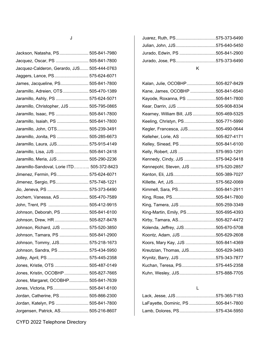| × | ۰.<br>×<br>۰. |  |
|---|---------------|--|

| Jackson, Natasha, PS 505-841-7980           |  |
|---------------------------------------------|--|
| Jacquez, Oscar, PS  505-841-7800            |  |
| Jacquez-Calderon, Gerardo, JJS 505-444-0763 |  |
| Jaggers, Lance, PS 575-624-6071             |  |
| James, Jacqueline, PS 505-841-7800          |  |
| Jaramillo, Adreien, OTS  505-470-1389       |  |
| Jaramillo, Ashly, PS  575-624-5071          |  |
| Jaramillo, Christopher, JJS  505-795-0865   |  |
| Jaramillo, Isaac, PS  505-841-7800          |  |
| Jaramillo, Isaiah, PS  505-841-7800         |  |
| Jaramillo, John, OTS 505-239-3491           |  |
| Jaramillo, Jonita, PS  505-285-6673         |  |
| Jaramillo, Laura, JJS 575-915-4149          |  |
| Jaramillo, Lisa, JJS  505-841-2418          |  |
| Jaramillo, Meria, JJS 505-290-2236          |  |
| Jaramillo-Sandoval, Lorie ITD 505-372-8423  |  |
| Jimenez, Fermin, PS 575-624-6071            |  |
| Jimenez, Sergio, PS 575-748-1221            |  |
| Jio, Jeneva, PS  575-373-6490               |  |
| Jochem, Vanessa, AS 505-470-7589            |  |
| John, Trent, PS  505-412-9915               |  |
| Johnson, Deborah, PS 505-841-6100           |  |
| Johnson, Drew, HR  505-827-8478             |  |
| Johnson, Richard, JJS  575-520-3850         |  |
| Johnson, Tamara, PS  505-841-2900           |  |
| Johnson, Tommy, JJS 575-218-1673            |  |
| Johnson, Sandra, PS  575-434-5950           |  |
| Jolley, April, PS  575-445-2358             |  |
| Jones, Kristie, OTS  505-487-0149           |  |
| Jones, Kristin, OCOBHP  505-827-7665        |  |
| Jones, Margaret, OCOBHP 505-841-7639        |  |
| Jones, Victoria, PS 505-841-6100            |  |
| Jordan, Catherine, PS 505-866-2300          |  |
| Jordan, Katelyn, PS  505-841-7800           |  |
| Jorgensen, Patrick, AS 505-216-8607         |  |

| Jurado, Jose, PS575-373-6490   |  |
|--------------------------------|--|
| Jurado, Edwin, PS 505-841-2900 |  |
| Julian, John, JJS575-640-5450  |  |
| Juarez, Ruth, PS575-373-6490   |  |

#### K

| Kalan, Julie, OCOBHP505-827-8429        |  |
|-----------------------------------------|--|
| Kane, James, OCOBHP 505-841-6540        |  |
| Kayode, Roxanna, PS 505-841-7800        |  |
| Kear, Darrin, JJS 505-908-8334          |  |
| Kearney, William Bill, JJS 505-469-5325 |  |
| Keeling, Christyn, PS505-771-5990       |  |
| Kegler, Francesca, JJS505-490-0644      |  |
| Kelleher, Lorie, AS 505-827-4171        |  |
| Kelley, Sinead, PS 505-841-6100         |  |
| Kelly, Robert, JJS 575-993-1291         |  |
| Kennedy, Cindy, JJS 575-942-5418        |  |
| Kennepohl, Steven, JJS 575-520-2857     |  |
| Kenton, Eli, JJS505-389-7027            |  |
|                                         |  |
| Killette, Art, JJS575-562-0069          |  |
| Kimmell, Sara, PS505-841-2911           |  |
|                                         |  |
| King, Tamera, JJS 505-259-3349          |  |
| King-Martin, Emily, PS505-695-4393      |  |
| Kirby, Tamara, AS505-827-4472           |  |
| Kolenda, Jeffrey, JJS505-670-5708       |  |
| Koontz, Adam, JJS 505-629-2608          |  |
| Koors, Mary Kay, JJS 505-841-4369       |  |
| Kreutzian, Thomas, JJS505-629-3483      |  |
| Krynitz, Barry, JJS 575-343-7877        |  |
| Kuchan, Teresa, PS575-445-2358          |  |

### L

| Lack, Jesse, JJS 575-365-7183       |  |
|-------------------------------------|--|
| LaFayette, Dominic, PS 505-841-7800 |  |
| Lamb, Dolores, PS575-434-5950       |  |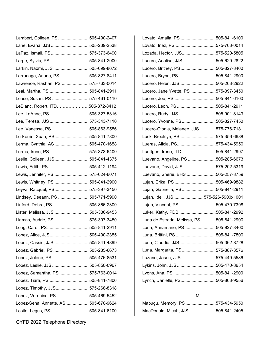| Lambert, Colleen, PS 505-490-2407    |  |
|--------------------------------------|--|
| Lane, Evana, JJS  505-239-2538       |  |
| LaPaz, Ismail, PS 575-373-6490       |  |
| Large, Sylvia, PS 505-841-2900       |  |
| Larkin, Naomi, JJS  505-699-8672     |  |
| Larranaga, Ariana, PS 505-827-8411   |  |
| Lawrence, Rashan, PS  575-763-0014   |  |
| Leal, Martha, PS  505-841-2911       |  |
| Lease, Susan, PS  575-461-0110       |  |
| LeBlanc, Robert, ITD505-372-8412     |  |
| Lee, LeAnne, PS  505-327-5316        |  |
| Lee, Teresa, JJS  575-343-7110       |  |
| Lee, Vanessa, PS  505-863-9556       |  |
| Le-Ferris, Xuan, PS 505-841-7800     |  |
| Lerma, Cynthia, AS  505-470-1658     |  |
| Lerma, Irene, PS  575-373-6400       |  |
| Leslie, Colleen, JJS 505-841-4375    |  |
| Lewis, Edith, PS  505-412-1194       |  |
| Lewis, Jennifer, PS  575-624-6071    |  |
| Lewis, Whitney, PS  505-841-2900     |  |
| Leyva, Racquel, PS 575-397-3450      |  |
| Lindsey, Deeann, PS  505-771-5990    |  |
| Linford, Debra, PS 505-866-2300      |  |
| Lister, Melissa, JJS  505-336-9453   |  |
| Llamas, Audrie, PS  575-397-3450     |  |
| Long, Carol, PS 505-841-2911         |  |
| Lopez, Alice, JJS 505-490-2355       |  |
| Lopez, Cassie, JJS  505-841-4899     |  |
| Lopez, Gabriel, PS  505-285-6673     |  |
| Lopez, Jolene, PS  505-476-8531      |  |
| Lopez, Leslie, JJS  505-850-0967     |  |
| Lopez, Samantha, PS  575-763-0014    |  |
| Lopez, Tiara, PS  505-841-7800       |  |
| Lopez, Timothy, JJS 575-268-8318     |  |
| Lopez, Veronica, PS  505-469-5452    |  |
| Lopez-Sena, Annette, AS 505-670-9624 |  |
| Losito, Legus, PS  505-841-6100      |  |

| Lovato, Amalia, PS 505-841-6100           |  |
|-------------------------------------------|--|
| Lovato, Inez, PS575-763-0014              |  |
| Lozada, Hector, JJS575-520-5805           |  |
| Lucero, Analisa, JJS 505-629-2822         |  |
| Lucero, Britney, PS505-827-8400           |  |
| Lucero, Brynn, PS505-841-2900             |  |
| Lucero, Helen, JJS505-263-2922            |  |
| Lucero, Jane Yvette, PS575-397-3450       |  |
| Lucero, Joe, PS 505-841-6100              |  |
| Lucero, Leon, PS505-841-2911              |  |
| Lucero, Rudy, JJS505-901-8143             |  |
| Lucero, Yvonne, PS505-827-7450            |  |
| Lucero-Olonia, Melanee, JJS 575-776-7181  |  |
| Luck, Brooklyn, PS575-356-6688            |  |
| Lueras, Alicia, PS575-434-5950            |  |
| Luettgen, Irene, ITD 505-841-2997         |  |
| Luevano, Angeline, PS 505-285-6673        |  |
| Luevano, David, JJS575-202-5319           |  |
| Luevano, Sherie, BHS 505-257-8759         |  |
| Lujan, Erika, PS 505-469-9882             |  |
| Lujan, Gabriella, PS505-841-2911          |  |
| Lujan, Idell, JJS575-526-5900x1001        |  |
| Lujan, Vincent, PS 505-470-7398           |  |
| Luker, Kathy, PDB 505-841-2992            |  |
| Luna de Estrada, Melissa, PS 505-841-2900 |  |
| Luna, Annamarie, PS505-827-8400           |  |
| Luna, Brittini, PS 505-841-7800           |  |
| Luna, Claudia, JJS505-362-8728            |  |
| Luna, Margarita, PS575-887-3576           |  |
| Luzano, Jason, JJS575-449-5586            |  |
| Lykins, John, JJS 505-470-8654            |  |
| Lyons, Ana, PS 505-841-2900               |  |
| Lynch, Danielle, PS505-863-9556           |  |
|                                           |  |

#### M

| Mabugu, Memory, PS 575-434-5950    |  |
|------------------------------------|--|
| MacDonald, Micah, JJS 505-841-2405 |  |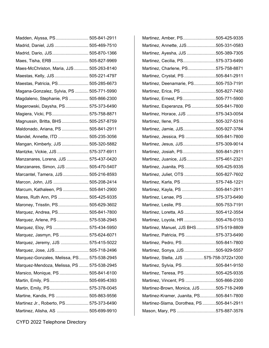| Madden, Alyssa, PS 505-841-2911            |  |
|--------------------------------------------|--|
| Madrid, Daniel, JJS  505-469-7510          |  |
| Madrid, Dario, JJS 505-870-1366            |  |
| Maes, Tisha, ERB  505-827-9969             |  |
| Maes-McChriston, Maria, JJS 505-263-8140   |  |
| Maestas, Kelly, JJS 505-221-4797           |  |
| Maestas, Patricia, PS 505-285-6673         |  |
| Magana-Gonzalez, Sylvia, PS  505-771-5990  |  |
| Magdaleno, Stephanie, PS  505-866-2300     |  |
| Magerowski, Daysha, PS  575-373-6490       |  |
| Magiera, Vicki, PS 575-758-8871            |  |
| Magnussin, Britta, BHS  505-257-8759       |  |
| Maldonado, Ariana, PS  505-841-2911        |  |
| Mandel, Annette, ITD  505-235-3056         |  |
| Mangan, Kimberly, JJS  505-320-5882        |  |
| Mantzke, Vickie, JJS  575-377-6911         |  |
| Manzanares, Lorena, JJS  575-437-0420      |  |
| Manzanares, Simon, JJS  505-470-5407       |  |
| Marcantel, Tamera, JJS  505-216-8593       |  |
| Marcon, John, JJS  505-208-2414            |  |
| Marcum, Kathaleen, PS  505-841-2900        |  |
| Mares, Ruth Ann, PS  505-425-9335          |  |
| Maroney, Trisstin, PS 505-629-3602         |  |
| Marquez, Andrea, PS 505-841-7800           |  |
| Marquez, Arlene, PS  575-538-2945          |  |
| Marquez, Eloy, PS  575-434-5950            |  |
| Marquez, Jasmyn, PS  575-624-6071          |  |
| Marquez, Jeremy, JJS  575-415-5022         |  |
| Marquez, Jose, JJS 505-718-2496            |  |
| Marquez-Gonzales, Melissa, PS 575-538-2945 |  |
| Marquez-Mendoza, Melissa, PS  575-538-2945 |  |
| Marsico, Monique, PS  505-841-6100         |  |
| Martin, Emily, PS 505-695-4393             |  |
| Martin, Emily, PS 575-378-0045             |  |
| Martine, Kandis, PS  505-863-9556          |  |
| Martinez Jr., Roberto, PS 575-373-6490     |  |
| Martinez, Alisha, AS  505-699-9910         |  |

| Martinez, Amber, PS505-425-9335          |  |
|------------------------------------------|--|
| Martinez, Annette, JJS505-331-0583       |  |
| Martinez, Ayesha, JJS 505-389-7305       |  |
| Martinez, Cecilia, PS575-373-6490        |  |
| Martinez, Charlene, PS575-758-8871       |  |
| Martinez, Crystal, PS505-841-2911        |  |
| Martinez, Deenamarie, PS505-753-7191     |  |
| Martinez, Erica, PS 505-827-7450         |  |
| Martinez, Ernest, PS505-771-5900         |  |
| Martinez, Esperanza, PS505-841-7800      |  |
| Martinez, Horace, JJS 575-343-0054       |  |
| Martinez, Ilene, PS505-327-5316          |  |
| Martinez, Jamie, JJS505-927-3784         |  |
| Martinez, Jessica, PS 505-841-7800       |  |
| Martinez, Jesus, JJS575-309-9014         |  |
| Martinez, Josiah, PS505-841-2911         |  |
| Martinez, Juanice, JJS575-461-2321       |  |
| Martinez, Juanita, PS505-425-9335        |  |
| Martinez, Juliet, OTS 505-827-7602       |  |
| Martinez, Karla, PS575-748-1221          |  |
| Martinez, Kayla, PS 505-841-2911         |  |
| Martinez, Lenae, PS 575-373-6490         |  |
| Martinez, Leslie, PS505-753-7191         |  |
| Martinez, Loretta, AS 505-412-3554       |  |
| Martinez, Loyola, HR 505-476-0153        |  |
| Martinez, Manuel, JJS BHS575-519-8809    |  |
| Martinez, Patricia, PS 575-373-6490      |  |
| Martinez, Pedro, PS505-841-7800          |  |
| Martinez, Sonya, JJS505-929-5557         |  |
| Martinez, Stella, JJS 575-758-3722x1200  |  |
| Martinez, Sylvia, PS505-841-9150         |  |
| Martinez, Teresa, PS505-425-9335         |  |
| Martinez, Vincent, PS 505-866-2300       |  |
| Martinez-Brown, Monica, JJS 505-718-2499 |  |
| Martinez-Kramer, Juanita, PS505-841-7800 |  |
| Martinez-Slama, Dorothea, PS505-841-2911 |  |
| Mason, Mary, PS 575-887-3576             |  |
|                                          |  |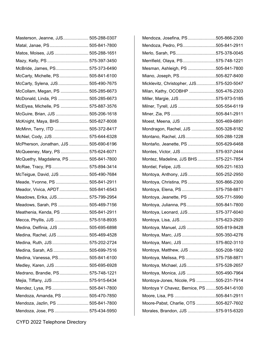| Masterson, Jeanne, JJS 505-288-0307    |  |
|----------------------------------------|--|
| Matal, Janae, PS 505-841-7800          |  |
| Matos, Moises, JJS  505-288-1651       |  |
| Mazy, Kelly, PS  575-397-3450          |  |
| McBride, James, PS 575-373-6490        |  |
| McCarty, Michelle, PS 505-841-6100     |  |
| McCarty, Sylena, JJS 505-490-7675      |  |
| McCollam, Megan, PS  505-285-6673      |  |
| McDonald, Linda, PS  505-285-6673      |  |
| McElyea, Michelle, PS  575-887-3576    |  |
| McGuire, Brian, JJS  505-206-1618      |  |
| McKnight, Maya, BHS  505-827-8008      |  |
| McMinn, Terry, ITD  505-372-8417       |  |
| McNiel, Cody, JJS 575-644-6328         |  |
| McPherson, Jonathan, JJS  505-690-6196 |  |
| McQueeney, Mary, PS  575-624-6071      |  |
| McQuethy, Magdalena, PS  505-841-7800  |  |
| McRae, Tracy, PS  575-894-3414         |  |
| McTeigue, David, JJS  505-490-7684     |  |
| Meade, Yvonne, PS  505-841-2911        |  |
| Meador, Vivica, APDT 505-841-6543      |  |
| Meadows, Erika, JJS 575-799-2954       |  |
| Meadows, Sarah, PS  505-469-7156       |  |
| Meathenia, Kenda, PS  505-841-2911     |  |
| Mecca, Phyllis, JJS  575-518-8935      |  |
| Medina, Delfinia, JJS  505-695-6898    |  |
| Medina, Rachel, JJS  505-469-4528      |  |
| Medina, Ruth, JJS 575-202-2724         |  |
| Medina, Sarah, AS  505-699-7516        |  |
| Medina, Vanessa, PS 505-841-6100       |  |
| Medley, Karen, JJS  505-695-6928       |  |
| Medrano, Brandie, PS 575-748-1221      |  |
| Mejia, Tiffany, JJS 575-915-6434       |  |
| Mendez, Lysa, PS  505-841-7800         |  |
| Mendoza, Amanda, PS  505-470-7850      |  |
| Mendoza, Jazlin, PS  505-841-7800      |  |
| Mendoza, Jose, PS 575-434-5950         |  |

| Mendoza, Josefina, PS505-866-2300          |  |
|--------------------------------------------|--|
| Mendoza, Pedro, PS505-841-2911             |  |
| Merlo, Sarah, PS575-378-0045               |  |
| Merrifield, Olaya, PS575-748-1221          |  |
| Mesman, Ashleigh, PS 505-841-7800          |  |
| Miano, Joseph, PS505-827-8400              |  |
| Micklevitz, Christopher, JJS575-520-5047   |  |
| Milan, Kathy, OCOBHP 505-476-2303          |  |
| Miller, Margie, JJS 575-973-5185           |  |
| Milner, Tyrell, JJS 505-554-6119           |  |
|                                            |  |
| Moest, Meena, JJS 505-469-6891             |  |
| Mondragon, Rachel, JJS 505-328-8182        |  |
| Montano, Rachel, JJS505-288-1228           |  |
| Montaño, Jeanette, PS 505-629-6468         |  |
| Montes, Victor, JJS575-937-2444            |  |
| Montez, Madeline, JJS BHS 575-221-7854     |  |
| Montiel, Felipe, JJS505-221-1633           |  |
| Montoya, Anthony, JJS505-252-2950          |  |
| Montoya, Christina, PS505-866-2300         |  |
| Montoya, Elena, PS575-758-8871             |  |
| Montoya, Jeanette, PS 505-771-5990         |  |
| Montoya, Julianna, PS505-841-7800          |  |
| Montoya, Leonard, JJS575-377-6040          |  |
| Montoya, Lisa, JJS575-623-2920             |  |
| Montoya, Manuel, JJS 505-819-8428          |  |
| Montoya, Marc, JJS 505-350-4276            |  |
| Montoya, Marc, JJS 575-802-3110            |  |
| Montoya, Matthew, JJS 505-208-1902         |  |
| Montoya, Melissa, PS 575-758-8871          |  |
| Montoya, Michael, JJS575-528-2657          |  |
| Montoya, Monica, JJS 505-490-7964          |  |
| Montoya-Jones, Nicole, PS 505-231-7914     |  |
| Montoya Y Chavez, Bernice, PS 505-841-6100 |  |
|                                            |  |
| Moore-Pabst, Charlie, OTS 505-827-7602     |  |
| Morales, Brandon, JJS 575-915-6320         |  |
|                                            |  |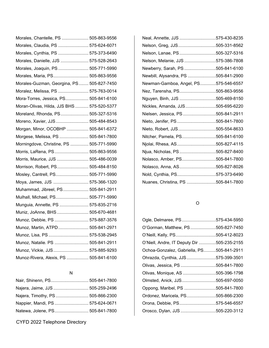| Morales, Chantelle, PS  505-863-9556       |  |
|--------------------------------------------|--|
| Morales, Claudia, PS  575-624-6071         |  |
| Morales, Cynthia, PS  575-373-6490         |  |
| Morales, Danielle, JJS  575-528-2643       |  |
| Morales, Joaquin, PS 505-771-5990          |  |
| Morales, Maria, PS 505-863-9556            |  |
| Morales-Guzman, Georgina, PS 505-827-7450  |  |
| Moralez, Melissa, PS  575-763-0014         |  |
| Mora-Torres, Jessica, PS 505-841-6100      |  |
| Moran-Olivas, Hilda, JJS BHS  575-520-5377 |  |
| Moreland, Rhonda, PS 505-327-5316          |  |
| Moreno, Xavier, JJS 505-484-8543           |  |
| Morgan, Minor, OCOBHP  505-841-6372        |  |
| Morgese, Melissa, PS  505-841-7800         |  |
| Morningdove, Christine, PS  505-771-5990   |  |
| Morris, LaRena, PS 505-863-9556            |  |
| Morris, Maurice, JJS  505-486-0039         |  |
| Morrison, Robert, PS 505-484-8150          |  |
| Mosley, Cantrell, PS 505-771-5990          |  |
| Moya, James, JJS  575-366-1320             |  |
| Muhammad, Jibreel, PS 505-841-2911         |  |
| Mulhall, Michael, PS 505-771-5990          |  |
| Munguia, Annette, PS  575-835-2716         |  |
| Muniz, JoAnne, BHS  505-670-4681           |  |
| Munoz, Debbie, PS  575-887-3576            |  |
| Munoz, Martin, ATPD 505-841-2971           |  |
| Munoz, Lisa, PS  575-538-2945              |  |
| Munoz, Natalie. PS  505-841-2911           |  |
| Munoz, Vickie, JJS  575-885-9293           |  |
| Munoz-Rivera, Alexis, PS  505-841-6100     |  |

#### N

| Nair, Shinenn, PS 505-841-7800   |  |
|----------------------------------|--|
| Najera, Jaime, JJS  505-259-2496 |  |
| Najera, Timothy, PS 505-866-2300 |  |
| Nappier, Mandi, PS 575-624-0671  |  |
| Natewa, Jolene, PS 505-841-7800  |  |

CYFD 2022 Telephone Directory

| Neal, Annette, JJS 575-430-8235      |
|--------------------------------------|
| Nelson, Greg, JJS505-331-8562        |
| Nelson, Lanae, PS505-327-5316        |
| Nelson, Melanie, JJS 575-386-7808    |
| Newberry, Sarah, PS 505-841-6100     |
| Newbill, Alysandra, PS 505-841-2900  |
| Newman-Gamboa, Angel, PS575-546-6557 |
| Nez, Tarensha, PS505-863-9556        |
| Nguyen, Binh, JJS 505-469-8150       |
| Nickles, Amanda, JJS505-695-6220     |
| Nielsen, Jessica, PS 505-841-2911    |
| Nieto, Jenifer, PS 505-841-7800      |
| Nieto, Robert, JJS505-554-8633       |
| Nitcher, Pamela, PS505-841-6100      |
| Njolai, Rhesa, AS505-827-4115        |
| Njua, Nicholas, PS 505-827-8400      |
| Nolasco, Amber, PS505-841-7800       |
| Nolasco, Anna, AS505-827-8026        |
| Nold, Cynthia, PS575-373-6490        |
| Nuanes, Christina, PS 505-841-7800   |
|                                      |

### O

| Ogle, Delmaree, PS575-434-5950             |  |
|--------------------------------------------|--|
| O'Gorman, Matthew, PS505-827-7450          |  |
| O'Neill, Kelly, PS505-412-8023             |  |
| O'Niell, Andre, IT Deputy Dir 505-235-2155 |  |
| Ochoa-Gonzalez, Gabriella, PS505-841-2911  |  |
| Ohrazda, Cynthia, JJS575-399-3501          |  |
| Olivas, Jessica, PS 505-841-7800           |  |
| Olivas, Monique, AS 505-396-1798           |  |
| Olmsted, Anick, JJS505-697-0050            |  |
| Oppong, Maribel, PS 505-841-7800           |  |
| Ordonez, Maricela, PS505-866-2300          |  |
| Orona, Debbie, PS575-546-6557              |  |
| Orosco, Dylan, JJS 505-220-3112            |  |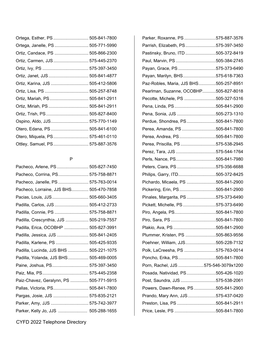| Ortega, Janelle, PS  505-771-5990 |
|-----------------------------------|
| Ortiz, Candace, PS  505-866-2300  |
| Ortiz, Carmen, JJS 575-445-2370   |
|                                   |
| Ortiz, Janet, JJS  505-841-4877   |
| Ortiz, Karina, JJS  505-412-5806  |
|                                   |
| Ortiz, Mariah, PS 505-841-2911    |
| Ortiz, Miriah, PS  505-841-2911   |
|                                   |
| Ospino, Aldo, JJS 575-770-1149    |
| Otero, Edana, PS  505-841-6100    |
| Otero, Miquela, PS 575-461-0110   |
| Ottley, Samuel, PS 575-887-3576   |
|                                   |

#### P

| Pacheco, Arlene, PS 505-827-7450        |  |
|-----------------------------------------|--|
| Pacheco, Corrina, PS 575-758-8871       |  |
| Pacheco, Janelle, PS  575-763-0014      |  |
| Pacheco, Lorraine, JJS BHS 505-470-7858 |  |
| Pacias, Louis, JJS 505-660-3405         |  |
| Padilla, Carlos, JJS  505-412-2733      |  |
| Padilla, Connie, PS  575-758-8871       |  |
| Padilla, Crescynthia, JJS  505-219-7557 |  |
| Padilla, Erica, OCOBHP  505-827-3991    |  |
| Padilla, Jessica, JJS  505-841-2405     |  |
| Padilla, Karlene, PS  505-425-9335      |  |
| Padilla, Lucinda, JJS BHS  505-221-1075 |  |
| Padilla, Yolanda, JJS BHS 505-469-0005  |  |
| Paine, Joshua, PS 575-397-3450          |  |
|                                         |  |
| Paiz-Chavez, Geralynn, PS  505-771-5915 |  |
| Pallas, Victoria, PS 505-841-7800       |  |
| Pargas, Josie, JJS  575-835-2121        |  |
| Parker, Amy, JJS  575-742-3977          |  |
| Parker, Kelly Jo, JJS  505-288-1655     |  |
|                                         |  |

| Parker, Roxanne, PS 575-887-3576       |  |
|----------------------------------------|--|
| Parrish, Elizabeth, PS575-397-3450     |  |
| Pastinsky, Bruno, ITD 505-372-8419     |  |
| Paul, Marvin, PS 505-384-2745          |  |
| Payan, Grace, PS575-373-6490           |  |
| Payan, Marilyn, BHS575-618-7363        |  |
| Paz-Robles, Maria, JJS BHS505-257-8951 |  |
| Pearlman, Suzanne, OCOBHP505-827-8018  |  |
| Pecotte, Michele, PS 505-327-5316      |  |
| Pena, Linda, PS505-841-2900            |  |
| Pena, Sonia, JJS 505-273-1310          |  |
| Perdue, Shondrea, PS505-841-7800       |  |
| Perea, Amanda, PS505-841-7800          |  |
| Perea, Andrea, PS505-841-7800          |  |
| Perea, Priscilla, PS 575-538-2945      |  |
| Perez, Tara, JJS 575-544-1764          |  |
| Perls, Nance, PS505-841-7980           |  |
| Peters, Ciara, PS 575-356-6688         |  |
| Philips, Garry, ITD505-372-8425        |  |
| Pichardo, Micaela, PS 505-841-2900     |  |
| Pickering, Erin, PS505-841-2900        |  |
| Pinales, Margarita, PS 575-373-6490    |  |
| Pickett, Michelle, PS 575-373-6490     |  |
| Piro, Angela, PS505-841-7800           |  |
|                                        |  |
|                                        |  |
| Plummer, Kristen, PS 505-863-9556      |  |
| Poehner, William, JJS505-228-7132      |  |
| Polk, LaCreesha, PS 575-763-0014       |  |
| Poncho, Erika, PS505-841-7800          |  |
| Porn, Rachel, JJS 575-546-3079x1200    |  |
| Posada, Natividad, PS505-426-1020      |  |
| Post, Saundra, JJS 575-538-2061        |  |
| Powers, Dawn-Renee, PS505-841-2900     |  |
| Prando, Mary Ann, JJS575-437-0420      |  |
| Preston, Lisa, PS 505-841-2911         |  |
|                                        |  |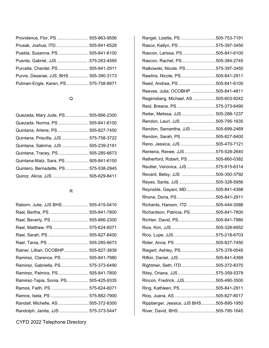| Providence, Flor, PS  505-863-9556      |  |
|-----------------------------------------|--|
| Prusak, Joshua, ITD 505-841-6528        |  |
| Puebla, Susanna, PS 505-841-6100        |  |
| Puente, Gabriel, JJS 575-263-4595       |  |
| Purcella, Chantel, PS 505-841-2911      |  |
| Purvis, Desarae, JJS, BHS  505-390-3173 |  |
| Putman-Engle, Karen, PS 575-758-8871    |  |

### Q

| Quezada, Mary Jude, PS  505-866-2300   |  |
|----------------------------------------|--|
| Quezada, Norma, PS 505-841-6100        |  |
| Quintana, Arlene, PS  505-827-7450     |  |
| Quintana, Priscilla, JJS  575-758-3722 |  |
| Quintana, Sabrina, JJS  505-239-2191   |  |
| Quintana, Tracey, PS 505-285-6673      |  |
| Quintana-Matz, Sara, PS  505-841-6100  |  |
| Quintero, Bernadette, PS 575-538-2945  |  |
| Quiroz, Alicia, JJS  505-629-8411      |  |
|                                        |  |

### R

| Raborn, Julie, JJS BHS 505-415-0410   |  |
|---------------------------------------|--|
| Rael, Bertha, PS  505-841-7800        |  |
| Rael, Beverly, PS  505-866-2300       |  |
| Rael, Matthew, PS  575-624-6071       |  |
| Rael, Sarah, PS  505-827-8400         |  |
| Rael, Tania, PS  505-285-6673         |  |
| Rainer, Lillian, OCOBHP 505-827-3839  |  |
| Ramirez, Clarence, PS 505-841-7980    |  |
| Ramirez, Gabriella, PS 575-373-6490   |  |
| Ramirez, Palmira, PS 505-841-7800     |  |
| Ramirez-Tapia, Sonia, PS 505-425-9335 |  |
| Ramos, Faith, PS  575-624-6071        |  |
| Ramos, Isela, PS  575-882-7900        |  |
| Randall, Michelle, AS  505-372-8300   |  |
| Randolph, Janita, JJS  575-373-5447   |  |

| Rangel, Lizette, PS 505-753-7191         |  |
|------------------------------------------|--|
| Rasco, Katlyn, PS575-397-3450            |  |
| Rascon, Larissa, PS 505-841-6100         |  |
| Rascon, Rachel, PS505-384-2745           |  |
| Ratkowski, Nicole, PS575-397-3450        |  |
| Rawlins, Nicole, PS505-841-2911          |  |
| Reed, Andrea, PS505-841-6100             |  |
| Reeves, Julie, OCOBHP 505-841-4811       |  |
| Regensberg, Michael, AS 505-603-9242     |  |
| Reid, Breana, PS 575-373-6490            |  |
| Reiter, Melissa, JJS  505-288-1237       |  |
| Rendon, Lauri, JJS 505-795-1635          |  |
| Rendon, Samantha, JJS505-699-2469        |  |
| Rendon, Sarah, PS505-827-8400            |  |
| Reno, Jessica, JJS 505-470-7121          |  |
| Renteria, Renee, JJS575-528-2640         |  |
| Retherford, Robert, PS 505-860-0382      |  |
| Reutter, Veronica, JJS575-915-6314       |  |
| Revard, Betsy, JJS 505-350-3792          |  |
| Reyes, Sarita, JJS 505-328-5956          |  |
| Reynolds, Gayani, MD505-841-4368         |  |
| Rhone, Doria, PS505-841-2911             |  |
| Richards, Hanson, ITD 505-444-3588       |  |
| Richardson, Patricia, PS505-841-7800     |  |
| Richter, David, PS505-841-7980           |  |
|                                          |  |
|                                          |  |
| Rider, Anna, PS 505-827-7450             |  |
| Riegert, Ashley, PS575-378-0045          |  |
| Rifkin, Daniel, JJS505-841-4369          |  |
| Rightmer, Seth, ITD 505-372-8370         |  |
| Riley, Oriana, JJS 575-359-5379          |  |
| Rincon, Fredrick, JJS505-490-3500        |  |
| Ring, Kathleen, PS505-841-2911           |  |
|                                          |  |
| Rippberger, Jessica, JJS BHS505-895-1950 |  |
| River, David, BHS505-795-1645            |  |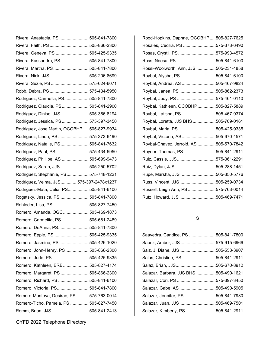| Rivera, Anastacia, PS  505-841-7800         |  |
|---------------------------------------------|--|
| Rivera, Faith, PS  505-866-2300             |  |
| Rivera, Geneva, PS  505-425-9335            |  |
| Rivera, Kassandra, PS 505-841-7800          |  |
| Rivera, Martha, PS 505-841-7800             |  |
| Rivera, Nick, JJS 505-206-8699              |  |
| Rivera, Suzie, PS  575-624-6071             |  |
| Robb, Debra, PS 575-434-5950                |  |
| Rodriguez, Carmella, PS 505-841-7800        |  |
| Rodriguez, Claudia, PS 505-841-2900         |  |
| Rodriguez, Dinise, JJS 505-366-8194         |  |
| Rodriguez, Jessica, PS  575-397-3450        |  |
| Rodriguez, Jose Martin, OCOBHP 505-827-9934 |  |
| Rodriguez, Linda, PS  575-373-6490          |  |
| Rodriguez, Natalie, PS 505-841-7632         |  |
| Rodriguez, Paul, PS 575-434-5950            |  |
| Rodriguez, Phillipe, AS  505-699-9473       |  |
| Rodriguez, Sarah, JJS  505-250-5702         |  |
| Rodriguez, Stephanie, PS 575-748-1221       |  |
| Rodriguez, Velma, JJS 575-397-2478x1237     |  |
| Rodriguez-Mata, Celia, PS 505-841-6100      |  |
| Rogatsky, Jessica, PS  505-841-7800         |  |
| Rohleder, Lisa, PS  505-827-7450            |  |
| Romero, Amanda, OGC  505-469-1873           |  |
| Romero, Carmelita, PS  505-681-2489         |  |
| Romero, DeAnna, PS 505-841-7800             |  |
| Romero, Eppie, PS  505-425-9335             |  |
| Romero, Jasmine, PS  505-426-1020           |  |
| Romero, John-Henry, PS 505-866-2300         |  |
| Romero, Jude, PS 505-425-9335               |  |
| Romero, Kathleen, ERB 505-827-4174          |  |
| Romero, Margaret, PS  505-866-2300          |  |
| Romero, Richard, PS  505-841-6100           |  |
| Romero, Victoria, PS 505-841-7800           |  |
| Romero-Montoya, Desirae, PS  575-763-0014   |  |
| Romero-Ticho, Pamela, PS  505-827-7450      |  |
| Romm, Brian, JJS  505-841-2413              |  |

CYFD 2022 Telephone Directory

| Rood-Hopkins, Daphne, OCOBHP505-827-7625 |  |
|------------------------------------------|--|
| Rosales, Cecilia, PS 575-373-6490        |  |
| Rosas, Crystil, PS575-993-4572           |  |
| Ross, Neesa, PS505-841-6100              |  |
| Rossi-Woolworth, Ann, JJS 505-231-4858   |  |
| Roybal, Alysha, PS 505-841-6100          |  |
| Roybal, Andrea, AS 505-467-9824          |  |
| Roybal, Janea, PS 505-862-2373           |  |
| Roybal, Judy, PS 575-461-0110            |  |
| Roybal, Kathleen, OCOBHP505-827-5889     |  |
| Roybal, Latisha, PS 505-467-9374         |  |
| Roybal, Loretta, JJS BHS 505-709-0161    |  |
| Roybal, Maria, PS505-425-9335            |  |
| Roybal, Victoria, AS505-670-4571         |  |
| Roybal-Chavez, Jerrold, AS 505-570-7842  |  |
| Royder, Thomas, PS505-841-2911           |  |
| Ruiz, Cassie, JJS575-361-2291            |  |
| Ruiz, Dylan, JJS505-288-1451             |  |
| Rupe, Marsha, JJS 505-350-5776           |  |
| Russ, Vincent, JJS505-259-0734           |  |
| Russell, Leigh Ann, PS 575-763-0014      |  |
| Rutz, Howard, JJS 505-469-7471           |  |

## S

| Saavedra, Candice, PS 505-841-7800     |  |
|----------------------------------------|--|
| Saenz, Amber, JJS 575-915-6966         |  |
| Saiz, J. Diane, JJS505-553-3907        |  |
| Salas, Christine, PS505-841-2911       |  |
| Salaz, Brian, JJS505-670-8912          |  |
| Salazar, Barbara, JJS BHS 505-490-1621 |  |
| Salazar, Cori, PS 575-397-3450         |  |
| Salazar, Gabe, AS 505-490-5905         |  |
| Salazar, Jennifer, PS 505-841-7980     |  |
| Salazar, Juan, JJS 505-469-7501        |  |
| Salazar, Kimberly, PS505-841-2911      |  |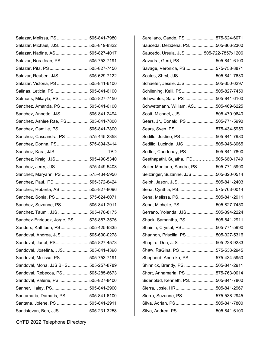| Salazar, Melissa, PS  505-841-7980       |  |
|------------------------------------------|--|
| Salazar, Michael, JJS 505-819-8322       |  |
| Salazar, Nadine, AS 505-827-4017         |  |
| Salazar, NoraJean, PS 505-753-7191       |  |
| Salazar, Pita, PS  505-827-7450          |  |
| Salazar, Reuben, JJS  505-629-7122       |  |
| Salazar, Victoria, PS  505-841-6100      |  |
| Salinas, Leticia, PS  505-841-6100       |  |
| Salmons, Mikayla, PS  505-827-7450       |  |
| Sanchez, Amanda, PS 505-841-6100         |  |
| Sanchez, Annette, JJS 505-841-2494       |  |
| Sanchez, Ashlee Rae, PS 505-841-7800     |  |
| Sanchez, Camille, PS  505-841-7800       |  |
| Sanchez, Cassandra, PS 575-445-2358      |  |
| Sanchez, Donna, PS 575-894-3414          |  |
|                                          |  |
| Sanchez, Kraig, JJS 505-490-5340         |  |
| Sanchez, Jerry, JJS  575-449-5408        |  |
| Sanchez, Maryann, PS  575-434-5950       |  |
| Sanchez, Paul, ITD  505-372-8424         |  |
| Sanchez, Roberta, AS  505-827-8096       |  |
| Sanchez, Sonia, PS  575-624-6071         |  |
| Sanchez, Suzanne, PS  505-841-2911       |  |
| Sanchez, Taumi, JJS  505-470-8175        |  |
| Sanchez-Enriquez, Jorge, PS 575-887-3576 |  |
| Sanders, Kathleen, PS 505-425-9335       |  |
| Sandoval, Andrea, JJS 505-690-0278       |  |
| Sandoval, Janet, PS 505-827-4573         |  |
| Sandoval, Josefina, JJS 505-841-4390     |  |
| Sandoval, Melissa, PS  505-753-7191      |  |
| Sandoval, Mona, JJS BHS 505-257-8789     |  |
| Sandoval, Rebecca, PS  505-285-6673      |  |
| Sandoval, Valerie, PS  505-827-8400      |  |
| Sanner, Haley, PS 505-841-2900           |  |
| Santamaria, Damaris, PS 505-841-6100     |  |
| Santana, Jolene, PS  505-841-2911        |  |
| Santistevan, Ben, JJS  505-231-3258      |  |

| Sarellano, Cande, PS 575-624-6071      |  |
|----------------------------------------|--|
| Sauceda, Dezideria, PS505-866-2300     |  |
| Saucedo, Ursula, JJS 505-722-7857x1206 |  |
| Savadra, Gerri, PS505-841-6100         |  |
| Savage, Veronica, PS575-758-8871       |  |
| Scates, Shryl, JJS505-841-7630         |  |
| Schaefer, Jessie, JJS 505-350-6297     |  |
| Schliening, Kelli, PS505-827-7450      |  |
| Schwantes, Sara, PS505-841-6100        |  |
| Schwettmann, William, AS505-469-6225   |  |
| Scott, Michael, JJS 505-470-9640       |  |
| Sears, Jr., Donald, PS 505-771-5990    |  |
| Sears, Sven, PS575-434-5950            |  |
| Sedillo, Justine, PS505-841-7980       |  |
| Sedillo, Lucinda, JJS 505-946-8065     |  |
| Sedler, Courtenay, PS505-841-7800      |  |
| Seethapathi, Sujatha, ITD505-660-1749  |  |
| Seiler-Montano, Sandra, PS505-771-5990 |  |
| Seitzinger, Suzanne, JJS 505-320-0514  |  |
| Selph, Jason, JJS 505-841-2403         |  |
| Sena, Cynthia, PS575-763-0014          |  |
| Sena, Melissa, PS505-841-2911          |  |
| Sena, Michelle, PS505-827-7450         |  |
| Serrano, Yolanda, JJS505-394-2224      |  |
| Shack, Samantha, PS505-841-2911        |  |
| Shainin, Crystal, PS505-771-5990       |  |
| Shannon, Priscilla, PS 505-327-5316    |  |
| Shapiro, Don, JJS505-228-9283          |  |
| Shaw, RaGina, PS575-538-2945           |  |
| Shepherd, Andreka, PS575-434-5950      |  |
| Shinnick, Brandy, PS 505-841-2911      |  |
| Short, Annamaria, PS 575-763-0014      |  |
| Sidenblad, Kenneth, PS505-841-7800     |  |
| Sierra, Josie, HR505-841-2967          |  |
| Sierra, Suzanne, PS 575-538-2945       |  |
| Silva, Adrian, PS505-841-7800          |  |
| Silva, Andrea, PS505-841-6100          |  |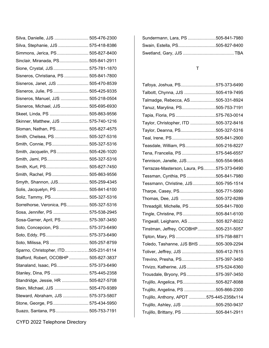| Silva, Danielle, JJS  505-476-2300     |  |
|----------------------------------------|--|
| Silva, Stephanie, JJS  575-418-8386    |  |
| Simmons, Jerica, PS 505-827-8400       |  |
| Sinclair, Miranada, PS 505-841-2911    |  |
| Sione, Crystal, JJS 575-781-1870       |  |
| Sisneros, Christiana, PS  505-841-7800 |  |
| Sisneros, Janet, JJS  505-470-8539     |  |
| Sisneros, Julie, PS  505-425-9335      |  |
| Sisneros, Manuel, JJS  505-218-0504    |  |
| Sisneros, Michael, JJS 505-695-6930    |  |
| Skeet, Linda, PS  505-863-9556         |  |
| Skinner, Matthew, JJS  575-740-1216    |  |
| Sloman, Nathan, PS 505-827-4575        |  |
| Smith, Chelsea, PS 505-327-5316        |  |
| Smith, Connie, PS 505-327-5316         |  |
| Smith, Jacquelin, PS 505-426-1020      |  |
| Smith, Jami, PS 505-327-5316           |  |
| Smith, Kurt, PS 505-827-7450           |  |
| Smith, Rachel, PS  505-863-9556        |  |
| Smyth, Shannon, JJS 505-259-4345       |  |
| Solis, Jacquelyn, PS  505-841-6100     |  |
| Soliz, Tammy, PS 505-327-5316          |  |
| Sorrelhorse, Veronica, PS 505-327-5316 |  |
| Sosa, Jennifer, PS  575-538-2945       |  |
| Sosa-Garner, April, PS 575-397-3450    |  |
| Soto, Concepcion, PS  575-373-6490     |  |
| Soto, Eddy, PS 575-373-6490            |  |
| Soto, Milissa, PS  505-257-8759        |  |
| Sparno, Christopher, ITD505-231-6114   |  |
| Stafford, Robert, OCOBHP  505-827-3837 |  |
| Stanaland, Isaac, PS 575-373-6490      |  |
| Stanley, Dina, PS  575-445-2358        |  |
| Standridge, Jessie, HR  505-827-5708   |  |
| Stein, Michael, JJS  505-470-9389      |  |
| Steward, Abraham, JJS  575-373-5807    |  |
| Stone, George, PS 575-434-5950         |  |
| Suazo, Santana, PS 505-753-7191        |  |

| Sundermann, Lara, PS 505-841-7980 |  |
|-----------------------------------|--|
| Swain, Estella, PS505-827-8400    |  |
|                                   |  |

### T

| Tafoya, Joshua, PS575-373-6490            |  |
|-------------------------------------------|--|
| Talbott, Chynna, JJS 505-419-7495         |  |
| Talmadge, Rebecca, AS505-331-8924         |  |
| Tanuz, Marylina, PS505-753-7191           |  |
| Tapia, Floria, PS 575-763-0014            |  |
| Taylor, Christopher, ITD 505-372-8416     |  |
| Taylor, Deanna, PS505-327-5316            |  |
| Teal, Irene, PS505-841-2900               |  |
| Teasdale, William, PS505-216-8227         |  |
| Tena, Francelia, PS 575-546-6557          |  |
| Tennison, Janelle, JJS505-554-9645        |  |
| Terrazas-Masterson, Laura, PS575-373-6490 |  |
| Tessman, Cynthia, PS505-841-7980          |  |
| Tessmann, Christine, JJS505-795-1514      |  |
| Tharpe, Casey, PS505-771-5990             |  |
| Thomas, Dee, JJS 505-372-8289             |  |
| Threadgill, Michelle, PS 505-841-7800     |  |
| Tingle, Christine, PS505-841-6100         |  |
| Tingwall, Leighann, AS 505 827-8022       |  |
| Tinstman, Jeffrey, OCOBHP505-231-5057     |  |
| Tipton, Mary, PS 575-758-8871             |  |
| Toledo, Tashanne, JJS BHS 505-309-2294    |  |
| Toliver, Jeffrey, JJS 505-412-7615        |  |
| Trevino, Presha, PS575-397-3450           |  |
| Trivizo, Katherine, JJS575-524-6360       |  |
| Trousdale, Bryony, PS575-397-3450         |  |
| Trujillo, Angelica, PS505-827-8088        |  |
| Trujillo, Angelina, PS 505-866-2300       |  |
| Trujillo, Anthony, APDT 575-445-2358x114  |  |
| Trujillo, Ashley, JJS 505-250-9437        |  |
| Trujillo, Brittany, PS 505-841-2911       |  |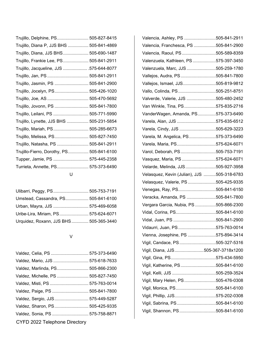| Trujillo, Delphine, PS 505-827-8415       |  |
|-------------------------------------------|--|
| Trujillo, Diana P, JJS BHS  505-841-4869  |  |
| Trujillo, Diana, JJS BHS 505-690-1487     |  |
| Trujillo, Frankie Lee, PS 505-841-2911    |  |
| Trujillo, Jacqueline, JJS  .575-644-8077  |  |
| Trujillo, Jan, PS  505-841-2911           |  |
| Trujillo, Jasmin, PS  505-841-2900        |  |
| Trujillo, Jocelyn, PS 505-426-1020        |  |
|                                           |  |
| Trujillo, Jovonn, PS  505-841-7800        |  |
| Trujillo, Leilani, PS  505-771-5990       |  |
| Trujillo, Lynette, JJS BHS  505-231-5854  |  |
| Trujillo, Mariah, PS 505-285-6673         |  |
| Trujillo, Melissa, PS 505-827-7450        |  |
| Trujillo, Natasha, PS  505-841-2911       |  |
| Trujillo-Fierro, Dorothy, PS 505-841-6100 |  |
| Tupper, Jamie, PS  575-445-2358           |  |
| Turrieta, Annette, PS 575-373-6490        |  |
| U                                         |  |

| Ulibarri, Peggy, PS 505-753-7191       |  |
|----------------------------------------|--|
| Umstead, Cassandra, PS 505-841-6100    |  |
| Urban, Mayra, JJS  575-469-6058        |  |
| Uribe-Lira, Miriam, PS 575-624-6071    |  |
| Urquidez, Roxann, JJS BHS 505-365-3440 |  |

#### V

| Valdez, Celia, PS  575-373-6490    |  |
|------------------------------------|--|
| Valdez, Mario, JJS  575-618-7633   |  |
| Valdez, Marlinda, PS 505-866-2300  |  |
| Valdez, Michelle, PS  505-827-7450 |  |
| Valdez, Misti, PS  575-763-0014    |  |
| Valdez, Paige, PS  505-841-7800    |  |
| Valdez, Sergio, JJS 575-449-5287   |  |
| Valdez, Sharon, PS 505-425-9335    |  |
| Valdez, Sonia, PS  575-758-8871    |  |
| CYFD 2022 Telephone Directory      |  |

| Valencia, Ashley, PS 505-841-2911           |  |
|---------------------------------------------|--|
| Valencia, Franchesca, PS 505-841-2900       |  |
| Valencia, Raoul, PS505-589-8359             |  |
| Valenzuela, Kathleen, PS 575-397-3450       |  |
| Valenzuela, Marc, JJS 505-259-1780          |  |
| Vallejos, Audra, PS505-841-7800             |  |
| Vallejos, Ismael, JJS505-819-9812           |  |
| Vallo, Colinda, PS505-251-8751              |  |
| Valverde, Valerie, JJS 505-480-2452         |  |
| Van Winkle, Tina, PS575-835-2716            |  |
| VanderWagen, Amanda, PS575-373-6490         |  |
| Varela, Alan, JJS 575-635-6512              |  |
| Varela, Cindy, JJS 505-629-3223             |  |
| Varela, M. Angelica, PS575-373-6490         |  |
| Varela, Maria, PS575-624-6071               |  |
| Varol, Deborah, PS505-753-7191              |  |
| Vasquez, Maria, PS 575-624-6071             |  |
| Velarde, Melinda, JJS505-927-3958           |  |
| Velasquez, Kevin (Julian), JJS 505-318-6783 |  |
| Velasquez, Valerie, PS 505-425-9335         |  |
| Venegas, Ray, PS505-841-6150                |  |
| Veracka, Amanda, PS 505-841-7800            |  |
| Vergara Garcia, Nubia, PS 505-866-2300      |  |
| Vidal, Corina, PS505-841-6100               |  |
| Vidal, Juan, PS 505-841-2900                |  |
| Vidaurri, Juan, PS575-763-0014              |  |
| Vienna, Josephine, PS 575-894-3414          |  |
| Vigil, Candace, PS505-327-5316              |  |
| Vigil, Diana, JJS505-367-3718x1200          |  |
|                                             |  |
| Vigil, Katherine, PS505-841-6100            |  |
|                                             |  |
| Vigil, Mary Helen, PS505-476-0308           |  |
| Vigil, Monica, PS505-841-6100               |  |
| Vigil, Phillip, JJS575-202-0308             |  |
| Vigil, Sabrina, PS505-841-6100              |  |
| Vigil, Shannon, PS505-841-6100              |  |
|                                             |  |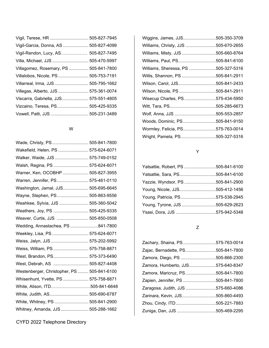| Vigil, Terese, HR  505-827-7945        |
|----------------------------------------|
| Vigil-Garcia, Donna, AS  505-827-4099  |
| Vigil-Rendon, Lucy, AS 505-827-7495    |
| Villa, Michael, JJS  505-470-5997      |
| Villagomez, Rosemary, PS  505-841-7800 |
| Villalobos, Nicole, PS  505-753-7191   |
| Villarreal, Irma, JJS  505-795-1662    |
| Villegas, Alberto, JJS  575-361-0074   |
| Viscarra, Gabriella, JJS 575-551-4805  |
| Vizcaino, Teresa, PS 505-425-9335      |
| Vowell, Patti, JJS  505-231-3489       |
|                                        |

### W

| Wade, Christy, PS 505-841-7800              |  |
|---------------------------------------------|--|
| Wakefield, Helen, PS  575-624-6071          |  |
| Walker, Waide, JJS 575-749-0152             |  |
| Walsh, Regina, PS  575-624-6071             |  |
| Warner, Ken, OCOBHP  505-827-3955           |  |
| Warren, Jennifer, PS 575-461-0110           |  |
| Washington, Jamal, JJS 505-695-6645         |  |
| Wayne, Stephen, PS 505-863-9556             |  |
| Weahkee, Sylvia, JJS  505-360-5042          |  |
| Weathers, Joy, PS  505-425-9335             |  |
| Weaver, Curtis, JJS  505-850-0508           |  |
| Wedding, Annastachea, PS 841-7800           |  |
| Weekley, Lisa, PS  575-624-6071             |  |
| Weiss, Jalyn, JJS  575-202-5992             |  |
| Weiss, William, PS  575-758-8871            |  |
| West, Brandon, PS 575-373-6490              |  |
| West, Debrah, AS  505-827-4408              |  |
| Westenberger, Christopher, PS  505-841-6100 |  |
| Whisenhunt, Yvette, PS  575-758-8871        |  |
| White, Alison, ITD505-841-6648              |  |
| White, Judith, AS 505-690-6787              |  |
| White, Whitney, PS  505-841-2900            |  |
| Whitney, Amanda, JJS 505-288-1662           |  |

| Wiggins, James, JJS505-350-3709     |  |
|-------------------------------------|--|
| Williams, Christy, JJS 505-670-2655 |  |
| Williams, Misty, JJS 505-660-8764   |  |
| Williams, Paul, PS505-841-6100      |  |
| Williams, Sheressa, PS 505-327-5316 |  |
| Willis, Shannon, PS 505-841-2911    |  |
| Wilson, Carol, JJS505-841-2433      |  |
| Wilson, Nicole, PS 505-841-2911     |  |
| Wisecup Charles, PS575-434-5950     |  |
|                                     |  |
| Wolf, Anna, JJS 505-553-2857        |  |
| Woods, Dominic, PS505-841-9150      |  |
| Wormley, Felicia, PS575-763-0014    |  |
| Wright, Pamela, PS505-327-5316      |  |

# Y

| Yatsattie, Robert, PS 505-841-6100 |  |
|------------------------------------|--|
| Yatsattie, Sara, PS505-841-6100    |  |
| Yazzie, Wyndsor, PS 505-841-2900   |  |
| Young, Nicole, JJS505-412-1456     |  |
| Young, Patricia, PS575-538-2945    |  |
| Young, Tyrone, JJS 505-629-2623    |  |
| Ysasi, Dora, JJS 575-942-5348      |  |

### Z

| Zachary, Shaina, PS575-763-0014    |  |
|------------------------------------|--|
| Zajac, Bernadette, PS505-841-7800  |  |
| Zamora, Diego, PS 505-866-2300     |  |
| Zamora, Humberto, JJS575-640-8347  |  |
| Zamora, Maricruz, PS505-841-7800   |  |
| Zapien, Jennifer, PS 505-841-7800  |  |
| Zaragosa, Judith, JJS 575-660-4086 |  |
| Zarinara, Kevin, JJS505-860-4493   |  |
| Zhou, Cindy, ITD505-221-7883       |  |
| Zuniga, Dan, JJS 505-469-2295      |  |